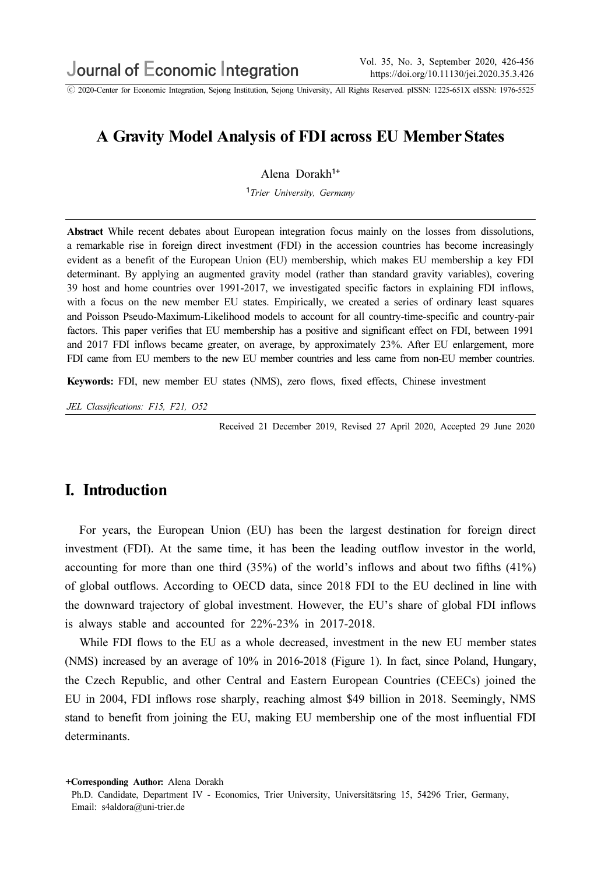ⓒ 2020-Center for Economic Integration, Sejong Institution, Sejong University, All Rights Reserved. pISSN: 1225-651X eISSN: 1976-5525

## A Gravity Model Analysis of FDI across EU Member States

Alena Dorakh<sup>1+</sup>

<sup>1</sup>Trier University, Germany

Abstract While recent debates about European integration focus mainly on the losses from dissolutions, a remarkable rise in foreign direct investment (FDI) in the accession countries has become increasingly evident as a benefit of the European Union (EU) membership, which makes EU membership a key FDI determinant.By applying an augmented gravity model (rather than standard gravity variables), covering 39 host and home countries over 1991-2017, we investigated specific factors in explaining FDI inflows, with a focus on the new member EU states. Empirically, we created a series of ordinary least squares and Poisson Pseudo-Maximum-Likelihood models to account for all country-time-specific and country-pair factors.This paper verifies that EU membership has a positive and significant effect on FDI, between 1991 and 2017 FDI inflows became greater, on average, by approximately 23%.After EU enlargement, more FDI came from EU members to the new EU member countries and less came from non-EU member countries.

Keywords: FDI, new member EU states (NMS), zero flows, fixed effects, Chinese investment

JEL Classifications: F15, F21, O52

Received 21 December 2019, Revised 27 April 2020, Accepted 29 June 2020

### I. Introduction

For years, the European Union (EU) has been the largest destination for foreign direct investment (FDI). At the same time, it has been the leading outflow investor in the world, accounting for more than one third (35%) of the world's inflows and about two fifths (41%) of global outflows. According to OECD data, since 2018 FDI to the EU declined in line with the downward trajectory of global investment. However, the EU's share of global FDI inflows is always stable and accounted for 22%-23% in 2017-2018.

While FDI flows to the EU as a whole decreased, investment in the new EU member states (NMS) increased by an average of 10% in 2016-2018 (Figure 1). In fact, since Poland, Hungary, the Czech Republic, and other Central and Eastern European Countries (CEECs) joined the EU in 2004, FDI inflows rose sharply, reaching almost \$49 billion in 2018. Seemingly, NMS stand to benefit from joining the EU, making EU membership one of the most influential FDI determinants.

<sup>+</sup>Corresponding Author: Alena Dorakh

Ph.D. Candidate, Department IV - Economics, Trier University, Universitätsring 15, 54296 Trier, Germany, Email: s4aldora@uni-trier.de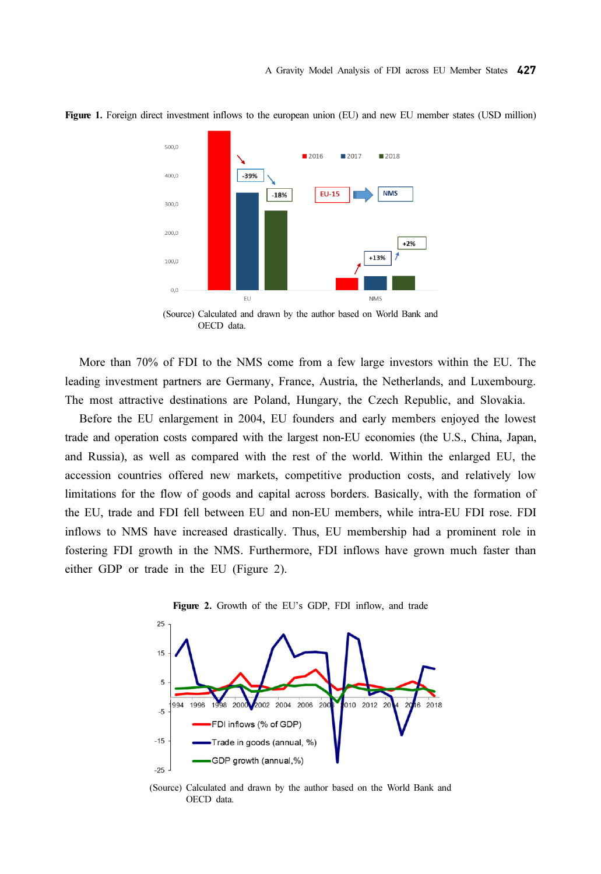

Figure 1. Foreign direct investment inflows to the european union (EU) and new EU member states (USD million)



More than 70% of FDI to the NMS come from a few large investors within the EU. The leading investment partners are Germany, France, Austria, the Netherlands, and Luxembourg. The most attractive destinations are Poland, Hungary, the Czech Republic, and Slovakia.

Before the EU enlargement in 2004, EU founders and early members enjoyed the lowest trade and operation costs compared with the largest non-EU economies (the U.S., China, Japan, and Russia), as well as compared with the rest of the world. Within the enlarged EU, the accession countries offered new markets, competitive production costs, and relatively low limitations for the flow of goods and capital across borders. Basically, with the formation of the EU, trade and FDI fell between EU and non-EU members, while intra-EU FDI rose. FDI inflows to NMS have increased drastically. Thus, EU membership had a prominent role in fostering FDI growth in the NMS. Furthermore, FDI inflows have grown much faster than either GDP or trade in the EU (Figure 2).



(Source) Calculated and drawn by the author based on the World Bank and OECD data.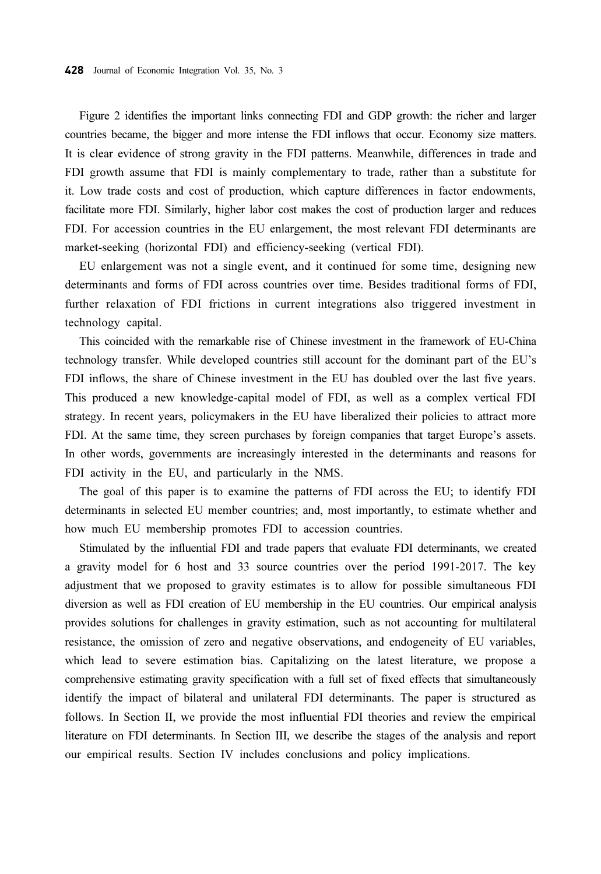Figure 2 identifies the important links connecting FDI and GDP growth: the richer and larger countries became, the bigger and more intense the FDI inflows that occur. Economy size matters. It is clear evidence of strong gravity in the FDI patterns. Meanwhile, differences in trade and FDI growth assume that FDI is mainly complementary to trade, rather than a substitute for it. Low trade costs and cost of production, which capture differences in factor endowments, facilitate more FDI. Similarly, higher labor cost makes the cost of production larger and reduces FDI. For accession countries in the EU enlargement, the most relevant FDI determinants are market-seeking (horizontal FDI) and efficiency-seeking (vertical FDI).

EU enlargement was not a single event, and it continued for some time, designing new determinants and forms of FDI across countries over time. Besides traditional forms of FDI, further relaxation of FDI frictions in current integrations also triggered investment in technology capital.

This coincided with the remarkable rise of Chinese investment in the framework of EU-China technology transfer. While developed countries still account for the dominant part of the EU's FDI inflows, the share of Chinese investment in the EU has doubled over the last five years. This produced a new knowledge-capital model of FDI, as well as a complex vertical FDI strategy. In recent years, policymakers in the EU have liberalized their policies to attract more FDI. At the same time, they screen purchases by foreign companies that target Europe's assets. In other words, governments are increasingly interested in the determinants and reasons for FDI activity in the EU, and particularly in the NMS.

The goal of this paper is to examine the patterns of FDI across the EU; to identify FDI determinants in selected EU member countries; and, most importantly, to estimate whether and how much EU membership promotes FDI to accession countries.

Stimulated by the influential FDI and trade papers that evaluate FDI determinants, we created a gravity model for 6 host and 33 source countries over the period 1991-2017. The key adjustment that we proposed to gravity estimates is to allow for possible simultaneous FDI diversion as well as FDI creation of EU membership in the EU countries. Our empirical analysis provides solutions for challenges in gravity estimation, such as not accounting for multilateral resistance, the omission of zero and negative observations, and endogeneity of EU variables, which lead to severe estimation bias. Capitalizing on the latest literature, we propose a comprehensive estimating gravity specification with a full set of fixed effects that simultaneously identify the impact of bilateral and unilateral FDI determinants. The paper is structured as follows. In Section II, we provide the most influential FDI theories and review the empirical literature on FDI determinants. In Section III, we describe the stages of the analysis and report our empirical results. Section IV includes conclusions and policy implications.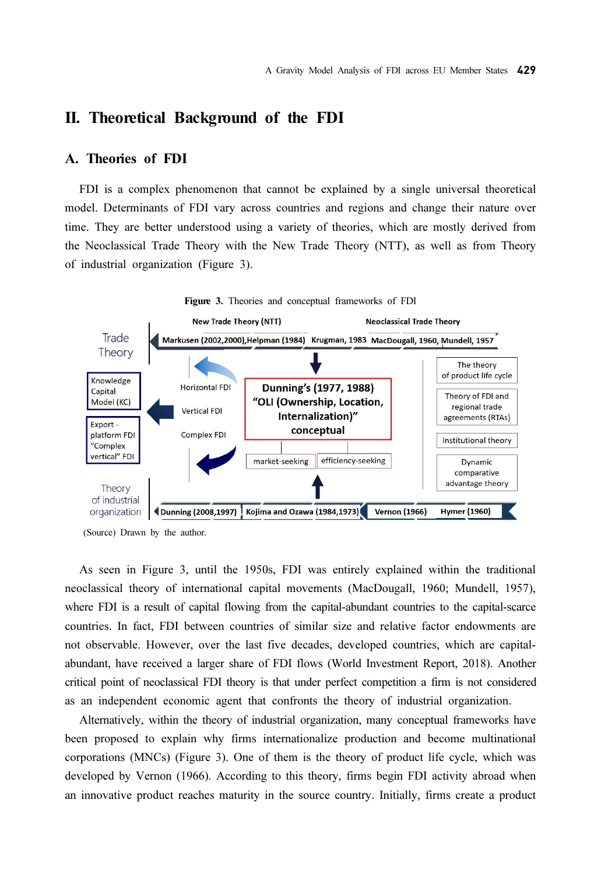## II. Theoretical Background of the FDI

### A. Theories of FDI

FDI is a complex phenomenon that cannot be explained by a single universal theoretical model. Determinants of FDI vary across countries and regions and change their nature over time. They are better understood using a variety of theories, which are mostly derived from the Neoclassical Trade Theory with the New Trade Theory (NTT), as well as from Theory of industrial organization (Figure 3).



(Source) Drawn by the author.

As seen in Figure 3, until the 1950s, FDI was entirely explained within the traditional neoclassical theory of international capital movements (MacDougall, 1960; Mundell, 1957), where FDI is a result of capital flowing from the capital-abundant countries to the capital-scarce countries. In fact, FDI between countries of similar size and relative factor endowments are not observable. However, over the last five decades, developed countries, which are capitalabundant, have received a larger share of FDI flows (World Investment Report, 2018). Another critical point of neoclassical FDI theory is that under perfect competition a firm is not considered as an independent economic agent that confronts the theory of industrial organization.

Alternatively, within the theory of industrial organization, many conceptual frameworks have been proposed to explain why firms internationalize production and become multinational corporations (MNCs) (Figure 3). One of them is the theory of product life cycle, which was developed by Vernon (1966). According to this theory, firms begin FDI activity abroad when an innovative product reaches maturity in the source country. Initially, firms create a product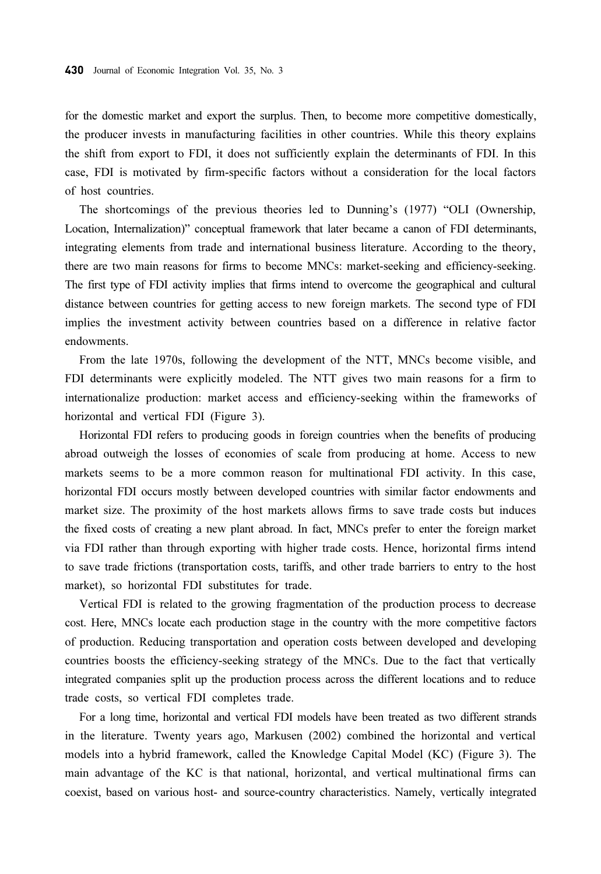for the domestic market and export the surplus. Then, to become more competitive domestically, the producer invests in manufacturing facilities in other countries. While this theory explains the shift from export to FDI, it does not sufficiently explain the determinants of FDI. In this case, FDI is motivated by firm-specific factors without a consideration for the local factors of host countries.

The shortcomings of the previous theories led to Dunning's (1977) "OLI (Ownership, Location, Internalization)" conceptual framework that later became a canon of FDI determinants, integrating elements from trade and international business literature. According to the theory, there are two main reasons for firms to become MNCs: market-seeking and efficiency-seeking. The first type of FDI activity implies that firms intend to overcome the geographical and cultural distance between countries for getting access to new foreign markets. The second type of FDI implies the investment activity between countries based on a difference in relative factor endowments.

From the late 1970s, following the development of the NTT, MNCs become visible, and FDI determinants were explicitly modeled. The NTT gives two main reasons for a firm to internationalize production: market access and efficiency-seeking within the frameworks of horizontal and vertical FDI (Figure 3).

Horizontal FDI refers to producing goods in foreign countries when the benefits of producing abroad outweigh the losses of economies of scale from producing at home. Access to new markets seems to be a more common reason for multinational FDI activity. In this case, horizontal FDI occurs mostly between developed countries with similar factor endowments and market size. The proximity of the host markets allows firms to save trade costs but induces the fixed costs of creating a new plant abroad. In fact, MNCs prefer to enter the foreign market via FDI rather than through exporting with higher trade costs. Hence, horizontal firms intend to save trade frictions (transportation costs, tariffs, and other trade barriers to entry to the host market), so horizontal FDI substitutes for trade.

Vertical FDI is related to the growing fragmentation of the production process to decrease cost. Here, MNCs locate each production stage in the country with the more competitive factors of production. Reducing transportation and operation costs between developed and developing countries boosts the efficiency-seeking strategy of the MNCs. Due to the fact that vertically integrated companies split up the production process across the different locations and to reduce trade costs, so vertical FDI completes trade.

For a long time, horizontal and vertical FDI models have been treated as two different strands in the literature. Twenty years ago, Markusen (2002) combined the horizontal and vertical models into a hybrid framework, called the Knowledge Capital Model (KC) (Figure 3). The main advantage of the KC is that national, horizontal, and vertical multinational firms can coexist, based on various host- and source-country characteristics. Namely, vertically integrated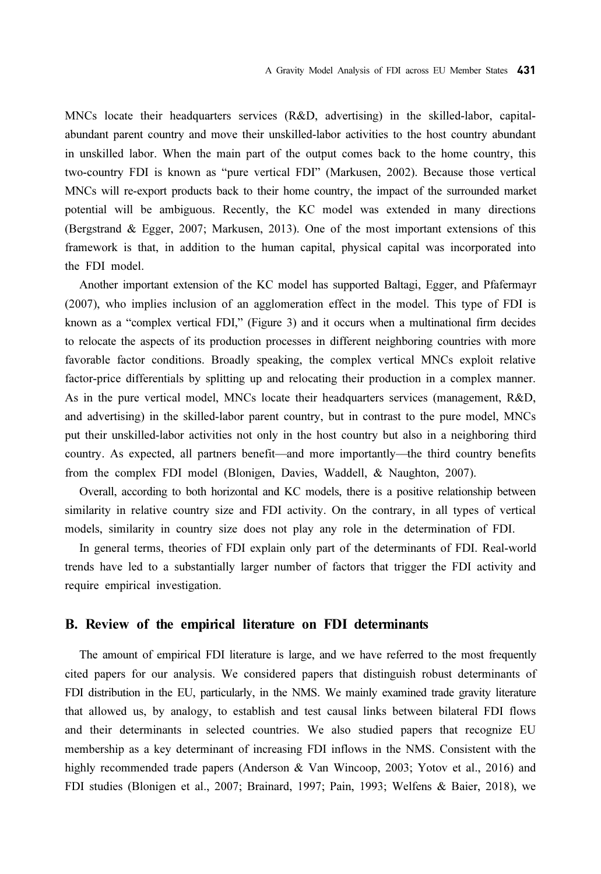MNCs locate their headquarters services (R&D, advertising) in the skilled-labor, capitalabundant parent country and move their unskilled-labor activities to the host country abundant in unskilled labor. When the main part of the output comes back to the home country, this two-country FDI is known as "pure vertical FDI" (Markusen, 2002). Because those vertical MNCs will re-export products back to their home country, the impact of the surrounded market potential will be ambiguous. Recently, the KC model was extended in many directions (Bergstrand & Egger, 2007; Markusen, 2013). One of the most important extensions of this framework is that, in addition to the human capital, physical capital was incorporated into the FDI model.

Another important extension of the KC model has supported Baltagi, Egger, and Pfafermayr (2007), who implies inclusion of an agglomeration effect in the model. This type of FDI is known as a "complex vertical FDI," (Figure 3) and it occurs when a multinational firm decides to relocate the aspects of its production processes in different neighboring countries with more favorable factor conditions. Broadly speaking, the complex vertical MNCs exploit relative factor-price differentials by splitting up and relocating their production in a complex manner. As in the pure vertical model, MNCs locate their headquarters services (management, R&D, and advertising) in the skilled-labor parent country, but in contrast to the pure model, MNCs put their unskilled-labor activities not only in the host country but also in a neighboring third country. As expected, all partners benefit—and more importantly—the third country benefits from the complex FDI model (Blonigen, Davies, Waddell, & Naughton, 2007).

Overall, according to both horizontal and KC models, there is a positive relationship between similarity in relative country size and FDI activity. On the contrary, in all types of vertical models, similarity in country size does not play any role in the determination of FDI.

In general terms, theories of FDI explain only part of the determinants of FDI. Real-world trends have led to a substantially larger number of factors that trigger the FDI activity and require empirical investigation.

### B. Review of the empirical literature on FDI determinants

The amount of empirical FDI literature is large, and we have referred to the most frequently cited papers for our analysis. We considered papers that distinguish robust determinants of FDI distribution in the EU, particularly, in the NMS. We mainly examined trade gravity literature that allowed us, by analogy, to establish and test causal links between bilateral FDI flows and their determinants in selected countries. We also studied papers that recognize EU membership as a key determinant of increasing FDI inflows in the NMS. Consistent with the highly recommended trade papers (Anderson & Van Wincoop, 2003; Yotov et al., 2016) and FDI studies (Blonigen et al., 2007; Brainard, 1997; Pain, 1993; Welfens & Baier, 2018), we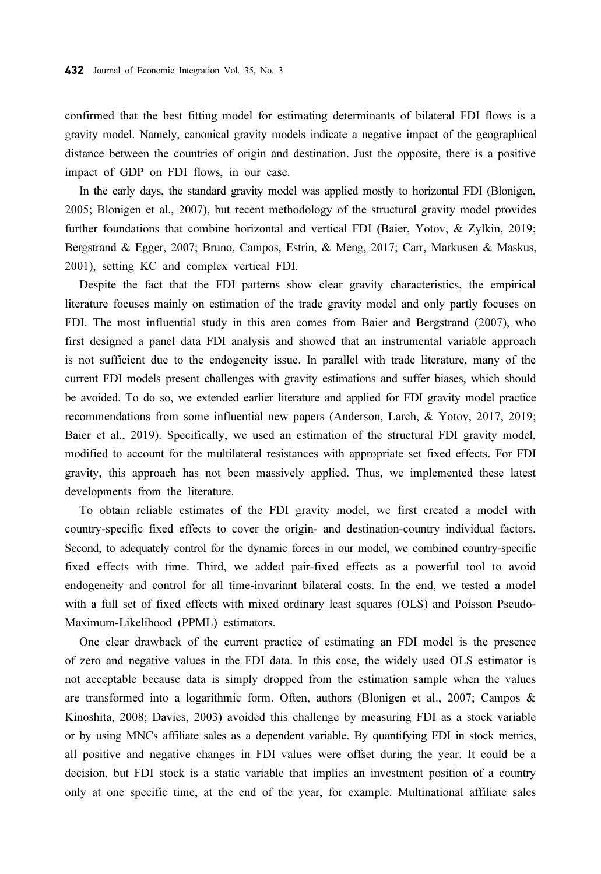confirmed that the best fitting model for estimating determinants of bilateral FDI flows is a gravity model. Namely, canonical gravity models indicate a negative impact of the geographical distance between the countries of origin and destination. Just the opposite, there is a positive impact of GDP on FDI flows, in our case.

In the early days, the standard gravity model was applied mostly to horizontal FDI (Blonigen, 2005; Blonigen et al., 2007), but recent methodology of the structural gravity model provides further foundations that combine horizontal and vertical FDI (Baier, Yotov, & Zylkin, 2019; Bergstrand & Egger, 2007; Bruno, Campos, Estrin, & Meng, 2017; Carr, Markusen & Maskus, 2001), setting KC and complex vertical FDI.

Despite the fact that the FDI patterns show clear gravity characteristics, the empirical literature focuses mainly on estimation of the trade gravity model and only partly focuses on FDI. The most influential study in this area comes from Baier and Bergstrand (2007), who first designed a panel data FDI analysis and showed that an instrumental variable approach is not sufficient due to the endogeneity issue. In parallel with trade literature, many of the current FDI models present challenges with gravity estimations and suffer biases, which should be avoided. To do so, we extended earlier literature and applied for FDI gravity model practice recommendations from some influential new papers (Anderson, Larch, & Yotov, 2017, 2019; Baier et al., 2019). Specifically, we used an estimation of the structural FDI gravity model, modified to account for the multilateral resistances with appropriate set fixed effects. For FDI gravity, this approach has not been massively applied. Thus, we implemented these latest developments from the literature.

To obtain reliable estimates of the FDI gravity model, we first created a model with country-specific fixed effects to cover the origin- and destination-country individual factors. Second, to adequately control for the dynamic forces in our model, we combined country-specific fixed effects with time. Third, we added pair-fixed effects as a powerful tool to avoid endogeneity and control for all time-invariant bilateral costs. In the end, we tested a model with a full set of fixed effects with mixed ordinary least squares (OLS) and Poisson Pseudo-Maximum-Likelihood (PPML) estimators.

One clear drawback of the current practice of estimating an FDI model is the presence of zero and negative values in the FDI data. In this case, the widely used OLS estimator is not acceptable because data is simply dropped from the estimation sample when the values are transformed into a logarithmic form. Often, authors (Blonigen et al., 2007; Campos & Kinoshita, 2008; Davies, 2003) avoided this challenge by measuring FDI as a stock variable or by using MNCs affiliate sales as a dependent variable. By quantifying FDI in stock metrics, all positive and negative changes in FDI values were offset during the year. It could be a decision, but FDI stock is a static variable that implies an investment position of a country only at one specific time, at the end of the year, for example. Multinational affiliate sales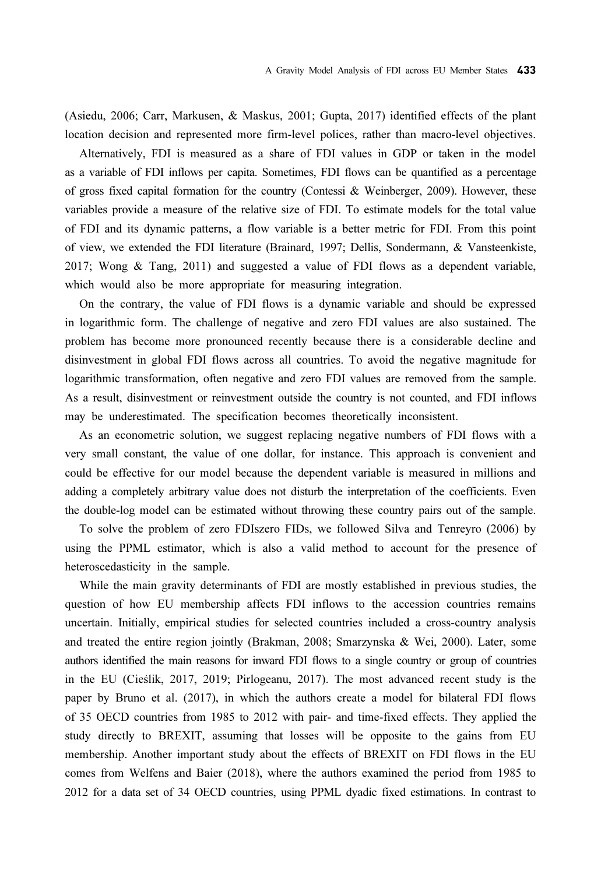(Asiedu, 2006; Carr, Markusen, & Maskus, 2001; Gupta, 2017) identified effects of the plant location decision and represented more firm-level polices, rather than macro-level objectives.

Alternatively, FDI is measured as a share of FDI values in GDP or taken in the model as a variable of FDI inflows per capita. Sometimes, FDI flows can be quantified as a percentage of gross fixed capital formation for the country (Contessi & Weinberger, 2009). However, these variables provide a measure of the relative size of FDI. To estimate models for the total value of FDI and its dynamic patterns, a flow variable is a better metric for FDI. From this point of view, we extended the FDI literature (Brainard, 1997; Dellis, Sondermann, & Vansteenkiste, 2017; Wong & Tang, 2011) and suggested a value of FDI flows as a dependent variable, which would also be more appropriate for measuring integration.

On the contrary, the value of FDI flows is a dynamic variable and should be expressed in logarithmic form. The challenge of negative and zero FDI values are also sustained. The problem has become more pronounced recently because there is a considerable decline and disinvestment in global FDI flows across all countries. To avoid the negative magnitude for logarithmic transformation, often negative and zero FDI values are removed from the sample. As a result, disinvestment or reinvestment outside the country is not counted, and FDI inflows may be underestimated. The specification becomes theoretically inconsistent.

As an econometric solution, we suggest replacing negative numbers of FDI flows with a very small constant, the value of one dollar, for instance. This approach is convenient and could be effective for our model because the dependent variable is measured in millions and adding a completely arbitrary value does not disturb the interpretation of the coefficients. Even the double-log model can be estimated without throwing these country pairs out of the sample.

To solve the problem of zero FDIszero FIDs, we followed Silva and Tenreyro (2006) by using the PPML estimator, which is also a valid method to account for the presence of heteroscedasticity in the sample.

While the main gravity determinants of FDI are mostly established in previous studies, the question of how EU membership affects FDI inflows to the accession countries remains uncertain. Initially, empirical studies for selected countries included a cross-country analysis and treated the entire region jointly (Brakman, 2008; Smarzynska & Wei, 2000). Later, some authors identified the main reasons for inward FDI flows to a single country or group of countries in the EU (Cieślik, 2017, 2019; Pirlogeanu, 2017). The most advanced recent study is the paper by Bruno et al. (2017), in which the authors create a model for bilateral FDI flows of 35 OECD countries from 1985 to 2012 with pair- and time-fixed effects. They applied the study directly to BREXIT, assuming that losses will be opposite to the gains from EU membership. Another important study about the effects of BREXIT on FDI flows in the EU comes from Welfens and Baier (2018), where the authors examined the period from 1985 to 2012 for a data set of 34 OECD countries, using PPML dyadic fixed estimations. In contrast to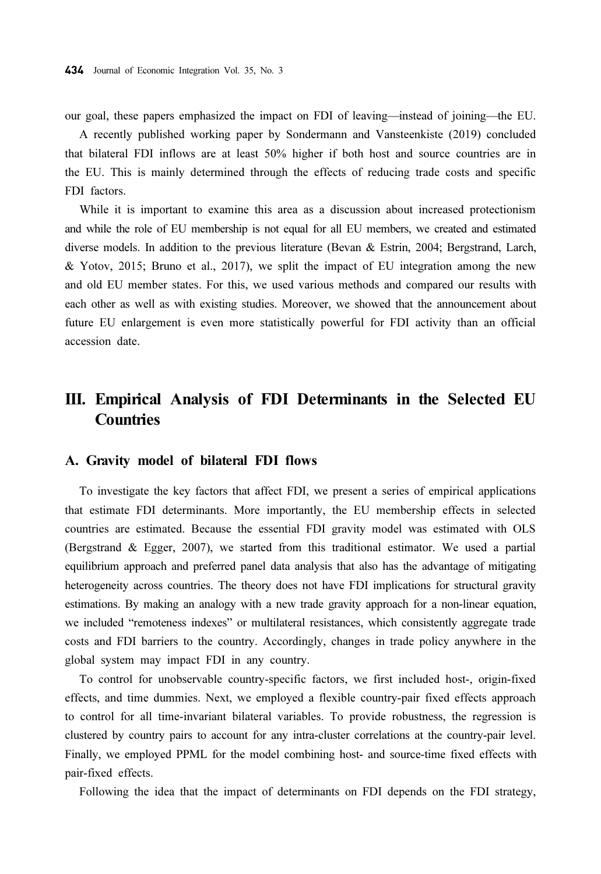our goal, these papers emphasized the impact on FDI of leaving—instead of joining—the EU.

A recently published working paper by Sondermann and Vansteenkiste (2019) concluded that bilateral FDI inflows are at least 50% higher if both host and source countries are in the EU. This is mainly determined through the effects of reducing trade costs and specific FDI factors.

While it is important to examine this area as a discussion about increased protectionism and while the role of EU membership is not equal for all EU members, we created and estimated diverse models. In addition to the previous literature (Bevan & Estrin, 2004; Bergstrand, Larch, & Yotov, 2015; Bruno et al., 2017), we split the impact of EU integration among the new and old EU member states. For this, we used various methods and compared our results with each other as well as with existing studies. Moreover, we showed that the announcement about future EU enlargement is even more statistically powerful for FDI activity than an official accession date.

# III. Empirical Analysis of FDI Determinants in the Selected EU **Countries**

#### A. Gravity model of bilateral FDI flows

To investigate the key factors that affect FDI, we present a series of empirical applications that estimate FDI determinants. More importantly, the EU membership effects in selected countries are estimated. Because the essential FDI gravity model was estimated with OLS (Bergstrand & Egger, 2007), we started from this traditional estimator. We used a partial equilibrium approach and preferred panel data analysis that also has the advantage of mitigating heterogeneity across countries. The theory does not have FDI implications for structural gravity estimations. By making an analogy with a new trade gravity approach for a non-linear equation, we included "remoteness indexes" or multilateral resistances, which consistently aggregate trade costs and FDI barriers to the country. Accordingly, changes in trade policy anywhere in the global system may impact FDI in any country.

To control for unobservable country-specific factors, we first included host-, origin-fixed effects, and time dummies. Next, we employed a flexible country-pair fixed effects approach to control for all time-invariant bilateral variables. To provide robustness, the regression is clustered by country pairs to account for any intra-cluster correlations at the country-pair level. Finally, we employed PPML for the model combining host- and source-time fixed effects with pair-fixed effects.

Following the idea that the impact of determinants on FDI depends on the FDI strategy,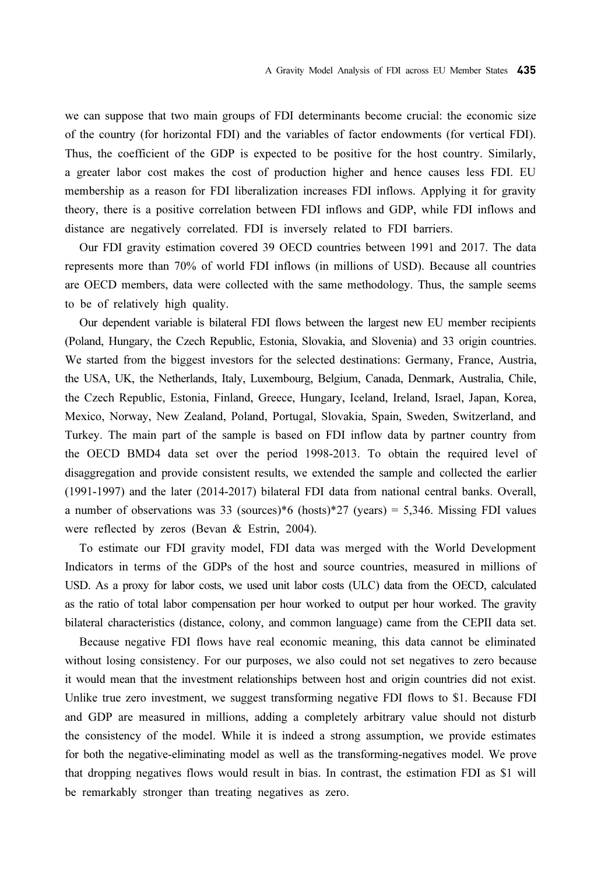we can suppose that two main groups of FDI determinants become crucial: the economic size of the country (for horizontal FDI) and the variables of factor endowments (for vertical FDI). Thus, the coefficient of the GDP is expected to be positive for the host country. Similarly, a greater labor cost makes the cost of production higher and hence causes less FDI. EU membership as a reason for FDI liberalization increases FDI inflows. Applying it for gravity theory, there is a positive correlation between FDI inflows and GDP, while FDI inflows and distance are negatively correlated. FDI is inversely related to FDI barriers.

Our FDI gravity estimation covered 39 OECD countries between 1991 and 2017. The data represents more than 70% of world FDI inflows (in millions of USD). Because all countries are OECD members, data were collected with the same methodology. Thus, the sample seems to be of relatively high quality.

Our dependent variable is bilateral FDI flows between the largest new EU member recipients (Poland, Hungary, the Czech Republic, Estonia, Slovakia, and Slovenia) and 33 origin countries. We started from the biggest investors for the selected destinations: Germany, France, Austria, the USA, UK, the Netherlands, Italy, Luxembourg, Belgium, Canada, Denmark, Australia, Chile, the Czech Republic, Estonia, Finland, Greece, Hungary, Iceland, Ireland, Israel, Japan, Korea, Mexico, Norway, New Zealand, Poland, Portugal, Slovakia, Spain, Sweden, Switzerland, and Turkey. The main part of the sample is based on FDI inflow data by partner country from the OECD BMD4 data set over the period 1998-2013. To obtain the required level of disaggregation and provide consistent results, we extended the sample and collected the earlier (1991-1997) and the later (2014-2017) bilateral FDI data from national central banks. Overall, a number of observations was 33 (sources)\*6 (hosts)\*27 (years) = 5,346. Missing FDI values were reflected by zeros (Bevan & Estrin, 2004).

To estimate our FDI gravity model, FDI data was merged with the World Development Indicators in terms of the GDPs of the host and source countries, measured in millions of USD. As a proxy for labor costs, we used unit labor costs (ULC) data from the OECD, calculated as the ratio of total labor compensation per hour worked to output per hour worked. The gravity bilateral characteristics (distance, colony, and common language) came from the CEPII data set.

Because negative FDI flows have real economic meaning, this data cannot be eliminated without losing consistency. For our purposes, we also could not set negatives to zero because it would mean that the investment relationships between host and origin countries did not exist. Unlike true zero investment, we suggest transforming negative FDI flows to \$1. Because FDI and GDP are measured in millions, adding a completely arbitrary value should not disturb the consistency of the model. While it is indeed a strong assumption, we provide estimates for both the negative-eliminating model as well as the transforming-negatives model. We prove that dropping negatives flows would result in bias. In contrast, the estimation FDI as \$1 will be remarkably stronger than treating negatives as zero.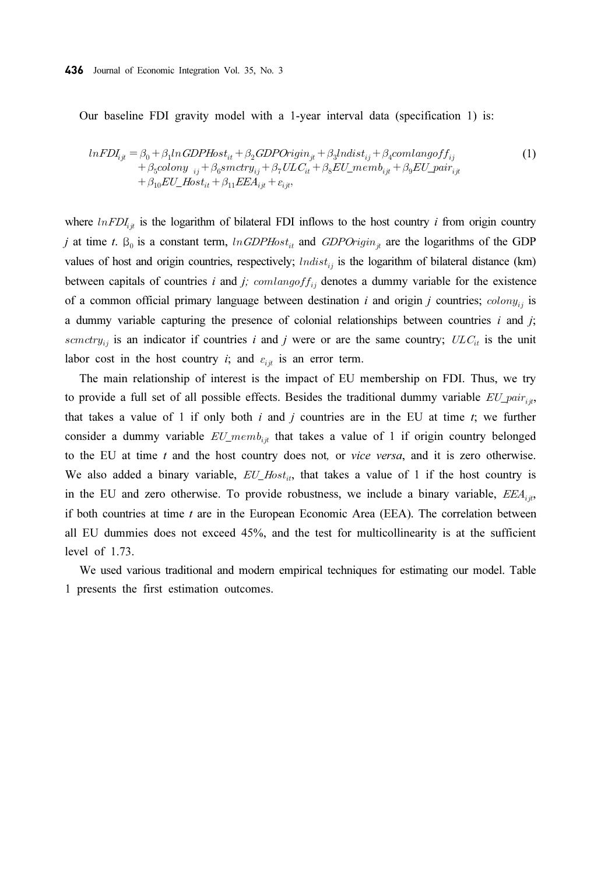Our baseline FDI gravity model with a 1-year interval data (specification 1) is:

$$
lnFDI_{ijt} = \beta_0 + \beta_1 ln GDPHost_{it} + \beta_2 GDPOrigin_{jt} + \beta_3 Indist_{ij} + \beta_4 comlangoff_{ij} + \beta_5 colony_{ij} + \beta_6 smctry_{ij} + \beta_7 ULC_{it} + \beta_8 EU\_memb_{ijt} + \beta_9 EU\_pair_{ijt} + \beta_{10} EU\_Host_{it} + \beta_{11} EEA_{ijt} + \varepsilon_{ijt},
$$
\n(1)

where  $ln FDI_{ijt}$  is the logarithm of bilateral FDI inflows to the host country *i* from origin country j at time t.  $\beta_0$  is a constant term,  $ln GDPHost_{ti}$  and  $GDPOrigin_{it}$  are the logarithms of the GDP values of host and origin countries, respectively;  $lndist_{ij}$  is the logarithm of bilateral distance (km) between capitals of countries i and j;  $comlangoff_{ij}$  denotes a dummy variable for the existence of a common official primary language between destination i and origin j countries;  $\text{colony}_{ij}$  is a dummy variable capturing the presence of colonial relationships between countries  $i$  and  $j$ ; semetry<sub>ij</sub> is an indicator if countries i and j were or are the same country;  $ULC_{it}$  is the unit labor cost in the host country *i*; and  $\varepsilon_{i,i}$  is an error term.

The main relationship of interest is the impact of EU membership on FDI. Thus, we try to provide a full set of all possible effects. Besides the traditional dummy variable  $EU\_pair_{ik}$ , that takes a value of 1 if only both  $i$  and  $j$  countries are in the EU at time  $t$ ; we further consider a dummy variable  $EU\_memb_{i\#}$  that takes a value of 1 if origin country belonged to the EU at time  $t$  and the host country does not, or *vice versa*, and it is zero otherwise. We also added a binary variable,  $EU\_Host_{ii}$ , that takes a value of 1 if the host country is in the EU and zero otherwise. To provide robustness, we include a binary variable,  $EEA_{ii}$ , if both countries at time  $t$  are in the European Economic Area (EEA). The correlation between all EU dummies does not exceed 45%, and the test for multicollinearity is at the sufficient level of 1.73.

We used various traditional and modern empirical techniques for estimating our model. Table 1 presents the first estimation outcomes.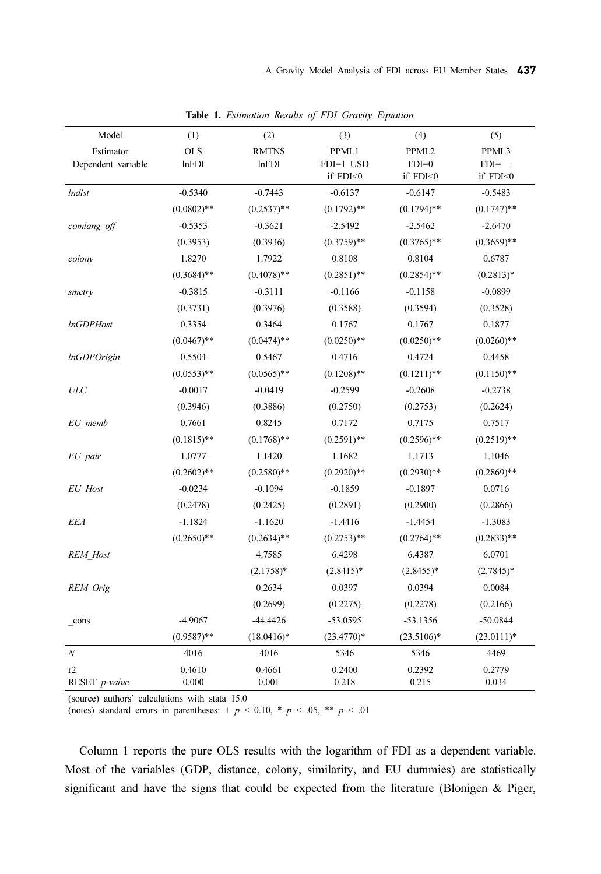| Model              | (1)           | (2)           | (3)           | (4)               | (5)           |
|--------------------|---------------|---------------|---------------|-------------------|---------------|
| Estimator          | <b>OLS</b>    | <b>RMTNS</b>  | PPML1         | PPML <sub>2</sub> | PPML3         |
| Dependent variable | lnFDI         | lnFDI         | FDI=1 USD     | $FDI=0$           | $FDI =$ .     |
|                    |               |               | if FDI<0      | if FDI<0          | if FDI<0      |
| <i>Indist</i>      | $-0.5340$     | $-0.7443$     | $-0.6137$     | $-0.6147$         | $-0.5483$     |
|                    | $(0.0802)$ ** | $(0.2537)$ ** | $(0.1792)$ ** | $(0.1794)$ **     | $(0.1747)$ ** |
| comlang off        | $-0.5353$     | $-0.3621$     | $-2.5492$     | $-2.5462$         | $-2.6470$     |
|                    | (0.3953)      | (0.3936)      | $(0.3759)$ ** | $(0.3765)$ **     | $(0.3659)$ ** |
| colony             | 1.8270        | 1.7922        | 0.8108        | 0.8104            | 0.6787        |
|                    | $(0.3684)$ ** | $(0.4078)$ ** | $(0.2851)$ ** | $(0.2854)$ **     | $(0.2813)*$   |
| smctry             | $-0.3815$     | $-0.3111$     | $-0.1166$     | $-0.1158$         | $-0.0899$     |
|                    | (0.3731)      | (0.3976)      | (0.3588)      | (0.3594)          | (0.3528)      |
| <b>InGDPHost</b>   | 0.3354        | 0.3464        | 0.1767        | 0.1767            | 0.1877        |
|                    | $(0.0467)$ ** | $(0.0474)$ ** | $(0.0250)$ ** | $(0.0250)$ **     | $(0.0260)$ ** |
| <i>InGDPOrigin</i> | 0.5504        | 0.5467        | 0.4716        | 0.4724            | 0.4458        |
|                    | $(0.0553)$ ** | $(0.0565)$ ** | $(0.1208)$ ** | $(0.1211)$ **     | $(0.1150)$ ** |
| <b>ULC</b>         | $-0.0017$     | $-0.0419$     | $-0.2599$     | $-0.2608$         | $-0.2738$     |
|                    | (0.3946)      | (0.3886)      | (0.2750)      | (0.2753)          | (0.2624)      |
| EU memb            | 0.7661        | 0.8245        | 0.7172        | 0.7175            | 0.7517        |
|                    | $(0.1815)$ ** | $(0.1768)$ ** | $(0.2591)$ ** | $(0.2596)$ **     | $(0.2519)$ ** |
| EU pair            | 1.0777        | 1.1420        | 1.1682        | 1.1713            | 1.1046        |
|                    | $(0.2602)$ ** | $(0.2580)$ ** | $(0.2920)**$  | $(0.2930)**$      | $(0.2869)$ ** |
| <b>EU</b> Host     | $-0.0234$     | $-0.1094$     | $-0.1859$     | $-0.1897$         | 0.0716        |
|                    | (0.2478)      | (0.2425)      | (0.2891)      | (0.2900)          | (0.2866)      |
| <b>EEA</b>         | $-1.1824$     | $-1.1620$     | $-1.4416$     | $-1.4454$         | $-1.3083$     |
|                    | $(0.2650)$ ** | $(0.2634)$ ** | $(0.2753)$ ** | $(0.2764)$ **     | $(0.2833)**$  |
| <b>REM</b> Host    |               | 4.7585        | 6.4298        | 6.4387            | 6.0701        |
|                    |               | $(2.1758)*$   | $(2.8415)^*$  | $(2.8455)*$       | $(2.7845)^*$  |
| REM Orig           |               | 0.2634        | 0.0397        | 0.0394            | 0.0084        |
|                    |               | (0.2699)      | (0.2275)      | (0.2278)          | (0.2166)      |
| _cons              | $-4.9067$     | $-44.4426$    | $-53.0595$    | $-53.1356$        | $-50.0844$    |
|                    | $(0.9587)$ ** | $(18.0416)^*$ | $(23.4770)*$  | $(23.5106)*$      | $(23.0111)*$  |
| $\boldsymbol{N}$   | 4016          | 4016          | 5346          | 5346              | 4469          |
| r2                 | 0.4610        | 0.4661        | 0.2400        | 0.2392            | 0.2779        |
| RESET p-value      | 0.000         | 0.001         | 0.218         | 0.215             | 0.034         |

Table 1. Estimation Results of FDI Gravity Equation

(source) authors' calculations with stata 15.0

(notes) standard errors in parentheses:  $+p < 0.10$ ,  $\binom{*}{p} < .05$ ,  $\binom{*}{p} < .01$ 

Column 1 reports the pure OLS results with the logarithm of FDI as a dependent variable. Most of the variables (GDP, distance, colony, similarity, and EU dummies) are statistically significant and have the signs that could be expected from the literature (Blonigen & Piger,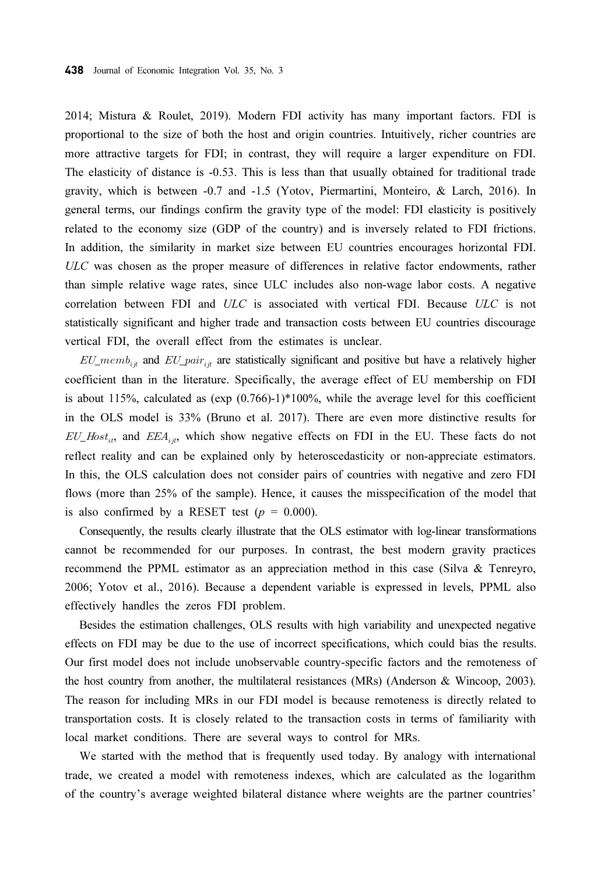2014; Mistura & Roulet, 2019). Modern FDI activity has many important factors. FDI is proportional to the size of both the host and origin countries. Intuitively, richer countries are more attractive targets for FDI; in contrast, they will require a larger expenditure on FDI. The elasticity of distance is -0.53. This is less than that usually obtained for traditional trade gravity, which is between -0.7 and -1.5 (Yotov, Piermartini, Monteiro, & Larch, 2016). In general terms, our findings confirm the gravity type of the model: FDI elasticity is positively related to the economy size (GDP of the country) and is inversely related to FDI frictions. In addition, the similarity in market size between EU countries encourages horizontal FDI. ULC was chosen as the proper measure of differences in relative factor endowments, rather than simple relative wage rates, since ULC includes also non-wage labor costs. A negative correlation between FDI and ULC is associated with vertical FDI. Because ULC is not statistically significant and higher trade and transaction costs between EU countries discourage vertical FDI, the overall effect from the estimates is unclear.

 $EU\_memb_{ijk}$  and  $EU\_pair_{ijk}$  are statistically significant and positive but have a relatively higher coefficient than in the literature. Specifically, the average effect of EU membership on FDI is about 115%, calculated as  $(\exp(0.766)-1)*100\%$ , while the average level for this coefficient in the OLS model is 33% (Bruno et al. 2017). There are even more distinctive results for  $EU\_Host_{ii}$ , and  $EEA_{ii}$ , which show negative effects on FDI in the EU. These facts do not reflect reality and can be explained only by heteroscedasticity or non-appreciate estimators. In this, the OLS calculation does not consider pairs of countries with negative and zero FDI flows (more than 25% of the sample). Hence, it causes the misspecification of the model that is also confirmed by a RESET test ( $p = 0.000$ ).

Consequently, the results clearly illustrate that the OLS estimator with log-linear transformations cannot be recommended for our purposes. In contrast, the best modern gravity practices recommend the PPML estimator as an appreciation method in this case (Silva & Tenreyro, 2006; Yotov et al., 2016). Because a dependent variable is expressed in levels, PPML also effectively handles the zeros FDI problem.

Besides the estimation challenges, OLS results with high variability and unexpected negative effects on FDI may be due to the use of incorrect specifications, which could bias the results. Our first model does not include unobservable country-specific factors and the remoteness of the host country from another, the multilateral resistances (MRs) (Anderson & Wincoop, 2003). The reason for including MRs in our FDI model is because remoteness is directly related to transportation costs. It is closely related to the transaction costs in terms of familiarity with local market conditions. There are several ways to control for MRs.

We started with the method that is frequently used today. By analogy with international trade, we created a model with remoteness indexes, which are calculated as the logarithm of the country's average weighted bilateral distance where weights are the partner countries'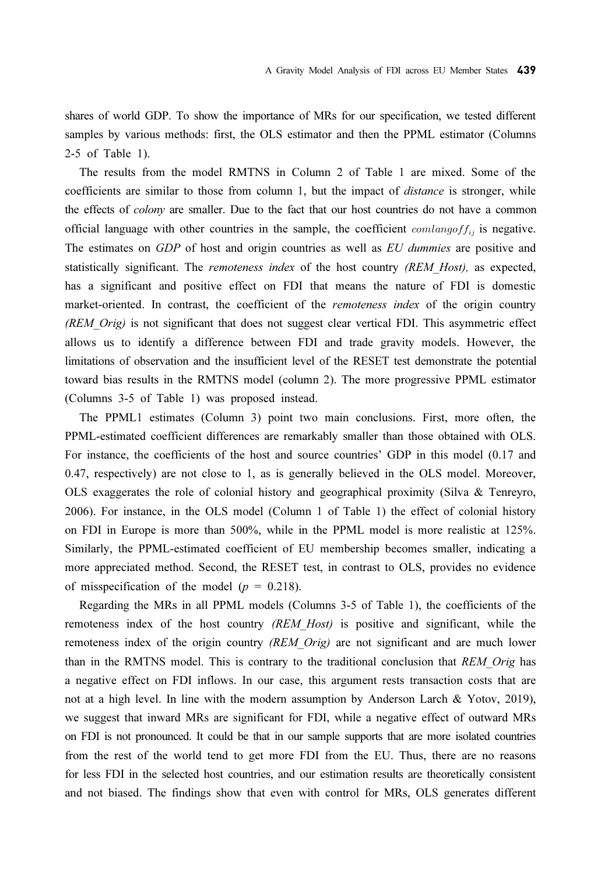shares of world GDP. To show the importance of MRs for our specification, we tested different samples by various methods: first, the OLS estimator and then the PPML estimator (Columns 2-5 of Table 1).

The results from the model RMTNS in Column 2 of Table 1 are mixed. Some of the coefficients are similar to those from column 1, but the impact of distance is stronger, while the effects of *colony* are smaller. Due to the fact that our host countries do not have a common official language with other countries in the sample, the coefficient  $comlangoff_{ij}$  is negative. The estimates on GDP of host and origin countries as well as EU dummies are positive and statistically significant. The *remoteness index* of the host country *(REM Host)*, as expected, has a significant and positive effect on FDI that means the nature of FDI is domestic market-oriented. In contrast, the coefficient of the *remoteness index* of the origin country  $(REMOrig)$  is not significant that does not suggest clear vertical FDI. This asymmetric effect allows us to identify a difference between FDI and trade gravity models. However, the limitations of observation and the insufficient level of the RESET test demonstrate the potential toward bias results in the RMTNS model (column 2). The more progressive PPML estimator (Columns 3-5 of Table 1) was proposed instead.

The PPML1 estimates (Column 3) point two main conclusions. First, more often, the PPML-estimated coefficient differences are remarkably smaller than those obtained with OLS. For instance, the coefficients of the host and source countries' GDP in this model (0.17 and 0.47, respectively) are not close to 1, as is generally believed in the OLS model. Moreover, OLS exaggerates the role of colonial history and geographical proximity (Silva & Tenreyro, 2006). For instance, in the OLS model (Column 1 of Table 1) the effect of colonial history on FDI in Europe is more than 500%, while in the PPML model is more realistic at 125%. Similarly, the PPML-estimated coefficient of EU membership becomes smaller, indicating a more appreciated method. Second, the RESET test, in contrast to OLS, provides no evidence of misspecification of the model ( $p = 0.218$ ).

Regarding the MRs in all PPML models (Columns 3-5 of Table 1), the coefficients of the remoteness index of the host country (REM Host) is positive and significant, while the remoteness index of the origin country (REM Orig) are not significant and are much lower than in the RMTNS model. This is contrary to the traditional conclusion that REM Orig has a negative effect on FDI inflows. In our case, this argument rests transaction costs that are not at a high level. In line with the modern assumption by Anderson Larch & Yotov, 2019), we suggest that inward MRs are significant for FDI, while a negative effect of outward MRs on FDI is not pronounced. It could be that in our sample supports that are more isolated countries from the rest of the world tend to get more FDI from the EU. Thus, there are no reasons for less FDI in the selected host countries, and our estimation results are theoretically consistent and not biased. The findings show that even with control for MRs, OLS generates different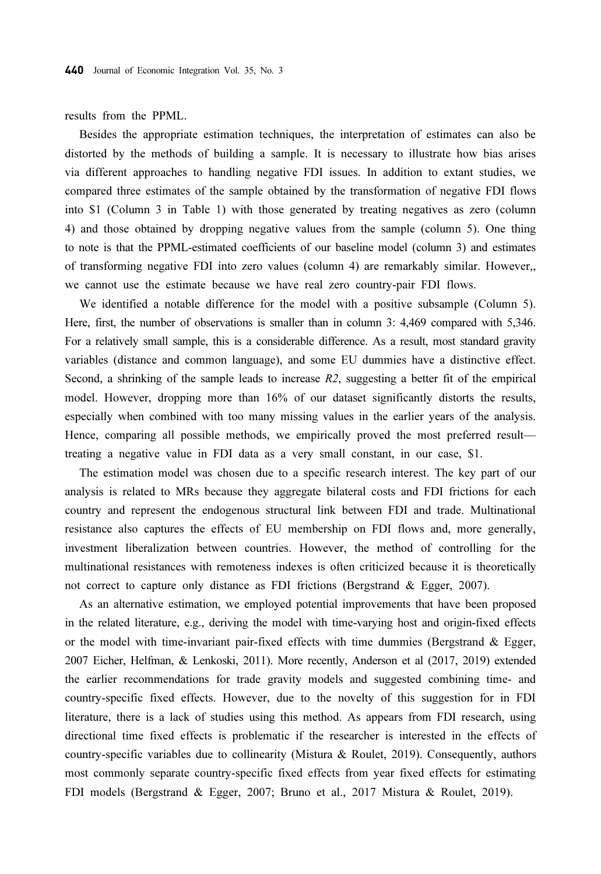results from the PPML.

Besides the appropriate estimation techniques, the interpretation of estimates can also be distorted by the methods of building a sample. It is necessary to illustrate how bias arises via different approaches to handling negative FDI issues. In addition to extant studies, we compared three estimates of the sample obtained by the transformation of negative FDI flows into \$1 (Column 3 in Table 1) with those generated by treating negatives as zero (column 4) and those obtained by dropping negative values from the sample (column 5). One thing to note is that the PPML-estimated coefficients of our baseline model (column 3) and estimates of transforming negative FDI into zero values (column 4) are remarkably similar. However,, we cannot use the estimate because we have real zero country-pair FDI flows.

We identified a notable difference for the model with a positive subsample (Column 5). Here, first, the number of observations is smaller than in column 3: 4,469 compared with 5,346. For a relatively small sample, this is a considerable difference. As a result, most standard gravity variables (distance and common language), and some EU dummies have a distinctive effect. Second, a shrinking of the sample leads to increase  $R2$ , suggesting a better fit of the empirical model. However, dropping more than 16% of our dataset significantly distorts the results, especially when combined with too many missing values in the earlier years of the analysis. Hence, comparing all possible methods, we empirically proved the most preferred result treating a negative value in FDI data as a very small constant, in our case, \$1.

The estimation model was chosen due to a specific research interest. The key part of our analysis is related to MRs because they aggregate bilateral costs and FDI frictions for each country and represent the endogenous structural link between FDI and trade. Multinational resistance also captures the effects of EU membership on FDI flows and, more generally, investment liberalization between countries. However, the method of controlling for the multinational resistances with remoteness indexes is often criticized because it is theoretically not correct to capture only distance as FDI frictions (Bergstrand & Egger, 2007).

As an alternative estimation, we employed potential improvements that have been proposed in the related literature, e.g., deriving the model with time-varying host and origin-fixed effects or the model with time-invariant pair-fixed effects with time dummies (Bergstrand  $\&$  Egger, 2007 Eicher, Helfman, & Lenkoski, 2011). More recently, Anderson et al (2017, 2019) extended the earlier recommendations for trade gravity models and suggested combining time- and country-specific fixed effects. However, due to the novelty of this suggestion for in FDI literature, there is a lack of studies using this method. As appears from FDI research, using directional time fixed effects is problematic if the researcher is interested in the effects of country-specific variables due to collinearity (Mistura & Roulet, 2019). Consequently, authors most commonly separate country-specific fixed effects from year fixed effects for estimating FDI models (Bergstrand & Egger, 2007; Bruno et al., 2017 Mistura & Roulet, 2019).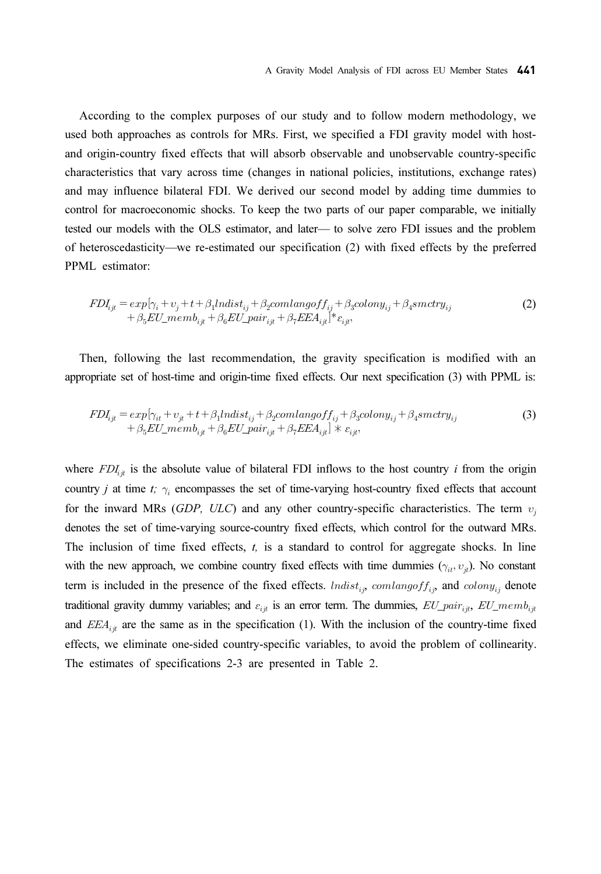According to the complex purposes of our study and to follow modern methodology, we used both approaches as controls for MRs. First, we specified a FDI gravity model with hostand origin-country fixed effects that will absorb observable and unobservable country-specific characteristics that vary across time (changes in national policies, institutions, exchange rates) and may influence bilateral FDI. We derived our second model by adding time dummies to control for macroeconomic shocks. To keep the two parts of our paper comparable, we initially tested our models with the OLS estimator, and later— to solve zero FDI issues and the problem of heteroscedasticity we re-estimated our specification (2) with fixed effects by the preferred — PPML estimator:

$$
FDI_{ijt} = exp[\gamma_i + \upsilon_j + t + \beta_1 Indist_{ij} + \beta_2 comlangoff_{ij} + \beta_3 colony_{ij} + \beta_4 smctry_{ij} + \beta_5 EU\_memb_{ijt} + \beta_6 EU\_pair_{ijt} + \beta_7 EEA_{ijt}]^* \epsilon_{ijt},
$$
\n(2)

Then, following the last recommendation, the gravity specification is modified with an appropriate set of host-time and origin-time fixed effects. Our next specification (3) with PPML is:

$$
FDI_{ijt} = exp[\gamma_{it} + \upsilon_{jt} + t + \beta_1 Indist_{ij} + \beta_2 comlang of f_{ij} + \beta_3 colony_{ij} + \beta_4 smctry_{ij} + \beta_5 EU\_memb_{ijt} + \beta_6 EU\_pair_{ijt} + \beta_7 EEA_{ijt}] \times \varepsilon_{ijt},
$$
\n(3)

where  $FDI_{ij}$  is the absolute value of bilateral FDI inflows to the host country *i* from the origin country *j* at time *t*;  $\gamma_i$  encompasses the set of time-varying host-country fixed effects that account for the inward MRs (*GDP*, *ULC*) and any other country-specific characteristics. The term  $v_i$ denotes the set of time-varying source-country fixed effects, which control for the outward MRs. The inclusion of time fixed effects,  $t$ , is a standard to control for aggregate shocks. In line with the new approach, we combine country fixed effects with time dummies  $(\gamma_{it}, v_{it})$ . No constant term is included in the presence of the fixed effects.  $lndist_{ij}$ ,  $comlang of f_{ij}$ , and  $colony_{ij}$  denote traditional gravity dummy variables; and  $\varepsilon_{ijt}$  is an error term. The dummies,  $EU\_pair_{ijt}$ ,  $EU\_memb_{ijt}$ and  $EEA_{ijt}$  are the same as in the specification (1). With the inclusion of the country-time fixed effects, we eliminate one-sided country-specific variables, to avoid the problem of collinearity. The estimates of specifications 2-3 are presented in Table 2.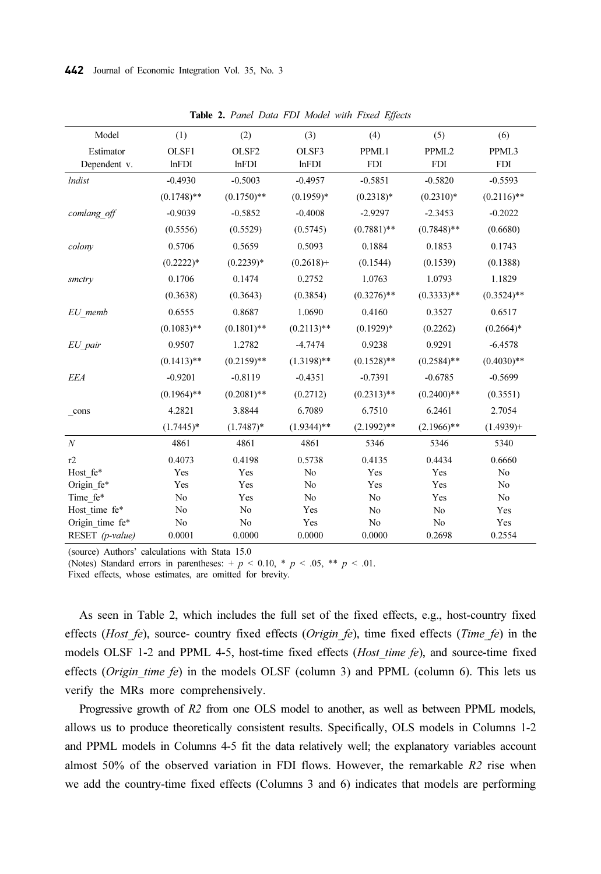| Model            | (1)           | (2)               | (3)           | (4)           | (5)               | (6)           |
|------------------|---------------|-------------------|---------------|---------------|-------------------|---------------|
| Estimator        | OLSF1         | OLSF <sub>2</sub> | OLSF3         | PPML1         | PPML <sub>2</sub> | PPML3         |
| Dependent v.     | lnFDI         | lnFDI             | lnFDI         | <b>FDI</b>    | <b>FDI</b>        | <b>FDI</b>    |
| <i>Indist</i>    | $-0.4930$     | $-0.5003$         | $-0.4957$     | $-0.5851$     | $-0.5820$         | $-0.5593$     |
|                  | $(0.1748)$ ** | $(0.1750)$ **     | $(0.1959)*$   | $(0.2318)*$   | $(0.2310)*$       | $(0.2116)$ ** |
| comlang off      | $-0.9039$     | $-0.5852$         | $-0.4008$     | $-2.9297$     | $-2.3453$         | $-0.2022$     |
|                  | (0.5556)      | (0.5529)          | (0.5745)      | $(0.7881)$ ** | $(0.7848)$ **     | (0.6680)      |
| colony           | 0.5706        | 0.5659            | 0.5093        | 0.1884        | 0.1853            | 0.1743        |
|                  | $(0.2222)*$   | $(0.2239)*$       | $(0.2618) +$  | (0.1544)      | (0.1539)          | (0.1388)      |
| smctry           | 0.1706        | 0.1474            | 0.2752        | 1.0763        | 1.0793            | 1.1829        |
|                  | (0.3638)      | (0.3643)          | (0.3854)      | $(0.3276)$ ** | $(0.3333)**$      | $(0.3524)$ ** |
| EU memb          | 0.6555        | 0.8687            | 1.0690        | 0.4160        | 0.3527            | 0.6517        |
|                  | $(0.1083)$ ** | $(0.1801)$ **     | $(0.2113)$ ** | $(0.1929)*$   | (0.2262)          | $(0.2664)*$   |
| EU pair          | 0.9507        | 1.2782            | $-4.7474$     | 0.9238        | 0.9291            | $-6.4578$     |
|                  | $(0.1413)$ ** | $(0.2159)$ **     | $(1.3198)$ ** | $(0.1528)$ ** | $(0.2584)$ **     | $(0.4030)$ ** |
| <b>EEA</b>       | $-0.9201$     | $-0.8119$         | $-0.4351$     | $-0.7391$     | $-0.6785$         | $-0.5699$     |
|                  | $(0.1964)$ ** | $(0.2081)$ **     | (0.2712)      | $(0.2313)$ ** | $(0.2400)$ **     | (0.3551)      |
| cons             | 4.2821        | 3.8844            | 6.7089        | 6.7510        | 6.2461            | 2.7054        |
|                  | $(1.7445)^*$  | $(1.7487)^*$      | $(1.9344)$ ** | $(2.1992)$ ** | $(2.1966)$ **     | $(1.4939)+$   |
| $\boldsymbol{N}$ | 4861          | 4861              | 4861          | 5346          | 5346              | 5340          |
| r2               | 0.4073        | 0.4198            | 0.5738        | 0.4135        | 0.4434            | 0.6660        |
| Host fe*         | Yes           | Yes               | No            | Yes           | Yes               | No            |
| Origin fe*       | Yes           | Yes               | No            | Yes           | Yes               | No            |
| Time fe*         | No            | Yes               | No            | No            | Yes               | No            |
| Host time fe*    | No            | No                | Yes           | No            | N <sub>o</sub>    | Yes           |
| Origin time fe*  | No            | No                | Yes           | No            | No                | Yes           |
| RESET (p-value)  | 0.0001        | 0.0000            | 0.0000        | 0.0000        | 0.2698            | 0.2554        |

Table 2. Panel Data FDI Model with Fixed Effects

(source) Authors' calculations with Stata 15.0

(Notes) Standard errors in parentheses:  $+p < 0.10$ ,  $\neq p < .05$ ,  $\neq p < .01$ .

Fixed effects, whose estimates, are omitted for brevity.

As seen in Table 2, which includes the full set of the fixed effects, e.g., host-country fixed effects (Host fe), source- country fixed effects (Origin fe), time fixed effects (Time fe) in the models OLSF 1-2 and PPML 4-5, host-time fixed effects ( $Host_$ time fe), and source-time fixed effects (*Origin time fe*) in the models OLSF (column 3) and PPML (column 6). This lets us verify the MRs more comprehensively.

Progressive growth of R2 from one OLS model to another, as well as between PPML models, allows us to produce theoretically consistent results. Specifically, OLS models in Columns 1-2 and PPML models in Columns 4-5 fit the data relatively well; the explanatory variables account almost 50% of the observed variation in FDI flows. However, the remarkable  $R2$  rise when we add the country-time fixed effects (Columns 3 and 6) indicates that models are performing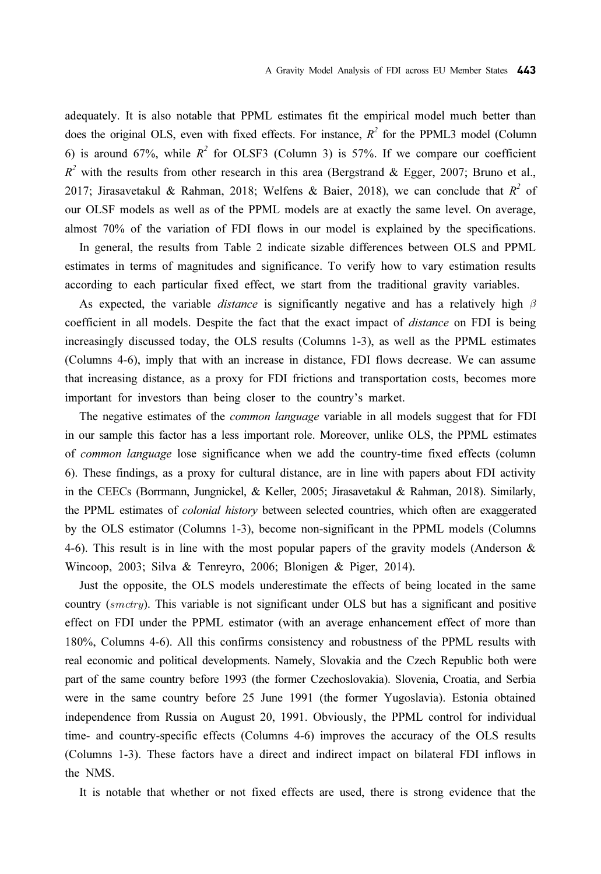adequately. It is also notable that PPML estimates fit the empirical model much better than does the original OLS, even with fixed effects. For instance,  $R^2$  for the PPML3 model (Column 6) is around 67%, while  $R^2$  for OLSF3 (Column 3) is 57%. If we compare our coefficient  $R^2$  with the results from other research in this area (Bergstrand & Egger, 2007; Bruno et al., 2017; Jirasavetakul & Rahman, 2018; Welfens & Baier, 2018), we can conclude that  $R^2$  of our OLSF models as well as of the PPML models are at exactly the same level. On average, almost 70% of the variation of FDI flows in our model is explained by the specifications.

In general, the results from Table 2 indicate sizable differences between OLS and PPML estimates in terms of magnitudes and significance. To verify how to vary estimation results according to each particular fixed effect, we start from the traditional gravity variables.

As expected, the variable *distance* is significantly negative and has a relatively high  $\beta$ coefficient in all models. Despite the fact that the exact impact of *distance* on FDI is being increasingly discussed today, the OLS results (Columns 1-3), as well as the PPML estimates (Columns 4-6), imply that with an increase in distance, FDI flows decrease. We can assume that increasing distance, as a proxy for FDI frictions and transportation costs, becomes more important for investors than being closer to the country's market.

The negative estimates of the common language variable in all models suggest that for FDI in our sample this factor has a less important role. Moreover, unlike OLS, the PPML estimates of common language lose significance when we add the country-time fixed effects (column 6). These findings, as a proxy for cultural distance, are in line with papers about FDI activity in the CEECs (Borrmann, Jungnickel, & Keller, 2005; Jirasavetakul & Rahman, 2018). Similarly, the PPML estimates of colonial history between selected countries, which often are exaggerated by the OLS estimator (Columns 1-3), become non-significant in the PPML models (Columns 4-6). This result is in line with the most popular papers of the gravity models (Anderson & Wincoop, 2003; Silva & Tenreyro, 2006; Blonigen & Piger, 2014).

Just the opposite, the OLS models underestimate the effects of being located in the same country  $(smetry)$ . This variable is not significant under OLS but has a significant and positive effect on FDI under the PPML estimator (with an average enhancement effect of more than 180%, Columns 4-6). All this confirms consistency and robustness of the PPML results with real economic and political developments. Namely, Slovakia and the Czech Republic both were part of the same country before 1993 (the former Czechoslovakia). Slovenia, Croatia, and Serbia were in the same country before 25 June 1991 (the former Yugoslavia). Estonia obtained independence from Russia on August 20, 1991. Obviously, the PPML control for individual time- and country-specific effects (Columns 4-6) improves the accuracy of the OLS results (Columns 1-3). These factors have a direct and indirect impact on bilateral FDI inflows in the NMS.

It is notable that whether or not fixed effects are used, there is strong evidence that the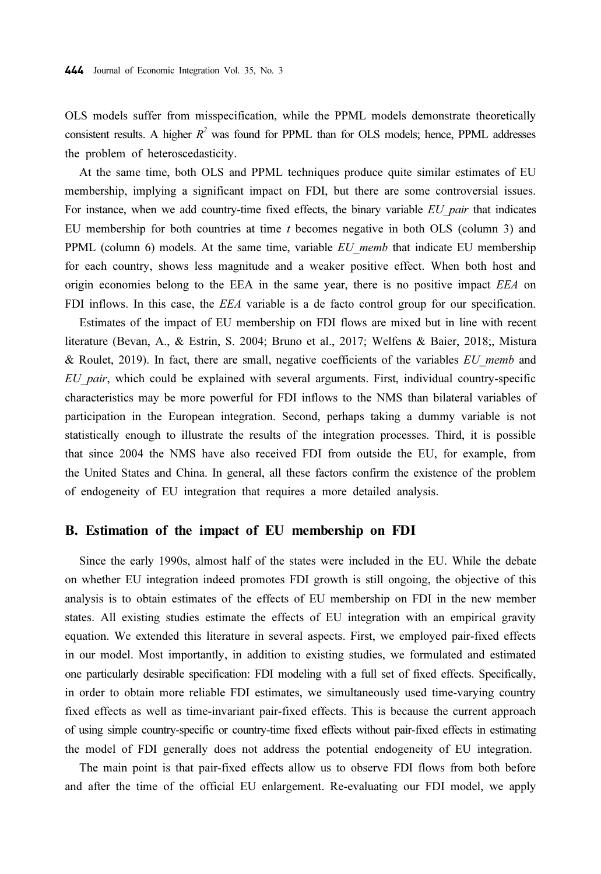OLS models suffer from misspecification, while the PPML models demonstrate theoretically consistent results. A higher  $R^2$  was found for PPML than for OLS models; hence, PPML addresses the problem of heteroscedasticity.

At the same time, both OLS and PPML techniques produce quite similar estimates of EU membership, implying a significant impact on FDI, but there are some controversial issues. For instance, when we add country-time fixed effects, the binary variable EU pair that indicates EU membership for both countries at time  $t$  becomes negative in both OLS (column 3) and PPML (column 6) models. At the same time, variable  $EU$  memb that indicate EU membership for each country, shows less magnitude and a weaker positive effect. When both host and origin economies belong to the EEA in the same year, there is no positive impact EEA on FDI inflows. In this case, the *EEA* variable is a de facto control group for our specification.

Estimates of the impact of EU membership on FDI flows are mixed but in line with recent literature (Bevan, A., & Estrin, S. 2004; Bruno et al., 2017; Welfens & Baier, 2018;, Mistura & Roulet, 2019). In fact, there are small, negative coefficients of the variables  $EU$  memb and  $EU$  pair, which could be explained with several arguments. First, individual country-specific characteristics may be more powerful for FDI inflows to the NMS than bilateral variables of participation in the European integration. Second, perhaps taking a dummy variable is not statistically enough to illustrate the results of the integration processes. Third, it is possible that since 2004 the NMS have also received FDI from outside the EU, for example, from the United States and China. In general, all these factors confirm the existence of the problem of endogeneity of EU integration that requires a more detailed analysis.

#### B. Estimation of the impact of EU membership on FDI

Since the early 1990s, almost half of the states were included in the EU. While the debate on whether EU integration indeed promotes FDI growth is still ongoing, the objective of this analysis is to obtain estimates of the effects of EU membership on FDI in the new member states. All existing studies estimate the effects of EU integration with an empirical gravity equation. We extended this literature in several aspects. First, we employed pair-fixed effects in our model. Most importantly, in addition to existing studies, we formulated and estimated one particularly desirable specification: FDI modeling with a full set of fixed effects. Specifically, in order to obtain more reliable FDI estimates, we simultaneously used time-varying country fixed effects as well as time-invariant pair-fixed effects. This is because the current approach of using simple country-specific or country-time fixed effects without pair-fixed effects in estimating the model of FDI generally does not address the potential endogeneity of EU integration.

The main point is that pair-fixed effects allow us to observe FDI flows from both before and after the time of the official EU enlargement. Re-evaluating our FDI model, we apply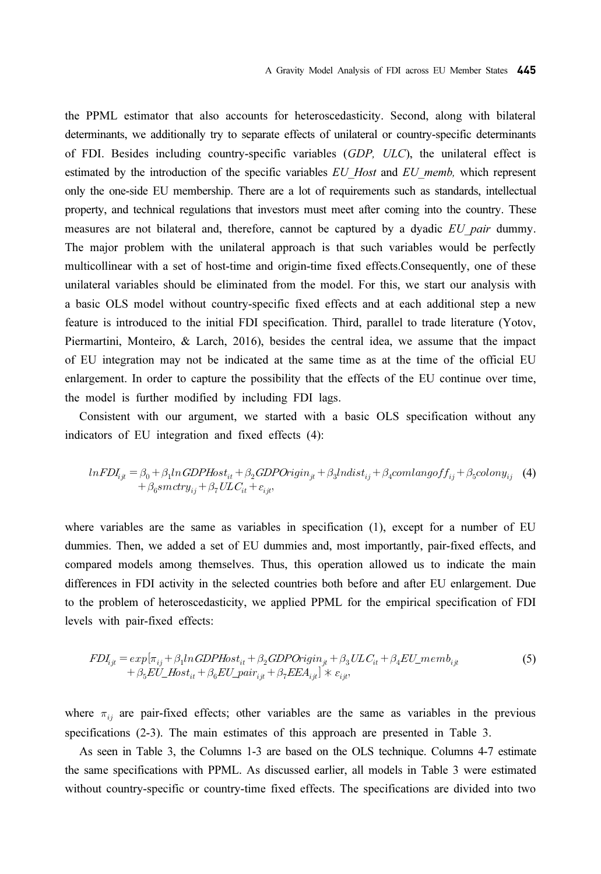the PPML estimator that also accounts for heteroscedasticity. Second, along with bilateral determinants, we additionally try to separate effects of unilateral or country-specific determinants of FDI. Besides including country-specific variables (GDP, ULC), the unilateral effect is estimated by the introduction of the specific variables EU Host and EU memb, which represent only the one-side EU membership. There are a lot of requirements such as standards, intellectual property, and technical regulations that investors must meet after coming into the country. These measures are not bilateral and, therefore, cannot be captured by a dyadic EU pair dummy. The major problem with the unilateral approach is that such variables would be perfectly multicollinear with a set of host-time and origin-time fixed effects.Consequently, one of these unilateral variables should be eliminated from the model. For this, we start our analysis with a basic OLS model without country-specific fixed effects and at each additional step a new feature is introduced to the initial FDI specification. Third, parallel to trade literature (Yotov, Piermartini, Monteiro, & Larch, 2016), besides the central idea, we assume that the impact of EU integration may not be indicated at the same time as at the time of the official EU enlargement. In order to capture the possibility that the effects of the EU continue over time, the model is further modified by including FDI lags.

Consistent with our argument, we started with a basic OLS specification without any indicators of EU integration and fixed effects (4):

$$
lnFDI_{ijt} = \beta_0 + \beta_1 ln GDPHost_{it} + \beta_2 GDPOrigin_{jt} + \beta_3 Indist_{ij} + \beta_4 comlangoff_{ij} + \beta_5 colony_{ij} \quad (4)
$$
  
+ 
$$
\beta_6 smctry_{ij} + \beta_7 ULC_{it} + \varepsilon_{ijt},
$$

where variables are the same as variables in specification (1), except for a number of EU dummies. Then, we added a set of EU dummies and, most importantly, pair-fixed effects, and compared models among themselves. Thus, this operation allowed us to indicate the main differences in FDI activity in the selected countries both before and after EU enlargement. Due to the problem of heteroscedasticity, we applied PPML for the empirical specification of FDI levels with pair-fixed effects:

$$
FDI_{ijt} = exp[\pi_{ij} + \beta_1 ln GDPHost_{it} + \beta_2 GDPOrigin_{jt} + \beta_3 ULC_{it} + \beta_4 EU\_memb_{ijt} + \beta_5 EU\_Host_{it} + \beta_6 EU\_pair_{ijt} + \beta_7 EEA_{ijt}] \times \varepsilon_{ijt},
$$
\n(5)

where  $\pi_{ij}$  are pair-fixed effects; other variables are the same as variables in the previous specifications (2-3). The main estimates of this approach are presented in Table 3.

As seen in Table 3, the Columns 1-3 are based on the OLS technique. Columns 4-7 estimate the same specifications with PPML. As discussed earlier, all models in Table 3 were estimated without country-specific or country-time fixed effects. The specifications are divided into two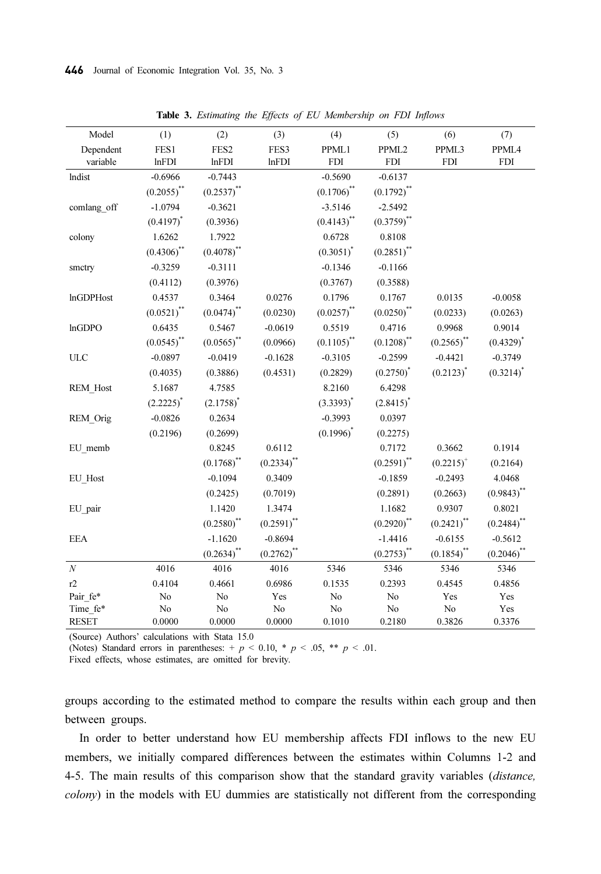| Model            | (1)             | (2)                      | (3)           | (4)                      | (5)             | (6)           | (7)             |
|------------------|-----------------|--------------------------|---------------|--------------------------|-----------------|---------------|-----------------|
| Dependent        | FES1            | FES <sub>2</sub>         | FES3          | PPML1                    | PPML2           | PPML3         | PPML4           |
| variable         | lnFDI           | lnFDI                    | lnFDI         | <b>FDI</b>               | <b>FDI</b>      | <b>FDI</b>    | <b>FDI</b>      |
| lndist           | $-0.6966$       | $-0.7443$                |               | $-0.5690$                | $-0.6137$       |               |                 |
|                  | $(0.2055)^{**}$ | $(0.2537)^{**}$          |               | $(0.1706)$ <sup>**</sup> | $(0.1792)^{**}$ |               |                 |
| comlang off      | $-1.0794$       | $-0.3621$                |               | $-3.5146$                | $-2.5492$       |               |                 |
|                  | $(0.4197)^*$    | (0.3936)                 |               | $(0.4143)$ <sup>**</sup> | $(0.3759)$ **   |               |                 |
| colony           | 1.6262          | 1.7922                   |               | 0.6728                   | 0.8108          |               |                 |
|                  | $(0.4306)$ **   | $(0.4078)$ **            |               | $(0.3051)^*$             | $(0.2851)$ **   |               |                 |
| smctry           | $-0.3259$       | $-0.3111$                |               | $-0.1346$                | $-0.1166$       |               |                 |
|                  | (0.4112)        | (0.3976)                 |               | (0.3767)                 | (0.3588)        |               |                 |
| <b>InGDPHost</b> | 0.4537          | 0.3464                   | 0.0276        | 0.1796                   | 0.1767          | 0.0135        | $-0.0058$       |
|                  | $(0.0521)^{**}$ | $(0.0474)^{**}$          | (0.0230)      | $(0.0257)^{**}$          | $(0.0250)^{**}$ | (0.0233)      | (0.0263)        |
| lnGDPO           | 0.6435          | 0.5467                   | $-0.0619$     | 0.5519                   | 0.4716          | 0.9968        | 0.9014          |
|                  | $(0.0545)$ **   | $(0.0565)$ **            | (0.0966)      | $(0.1105)$ <sup>**</sup> | $(0.1208)$ **   | $(0.2565)$ ** | $(0.4329)^{*}$  |
| ULC              | $-0.0897$       | $-0.0419$                | $-0.1628$     | $-0.3105$                | $-0.2599$       | $-0.4421$     | $-0.3749$       |
|                  | (0.4035)        | (0.3886)                 | (0.4531)      | (0.2829)                 | $(0.2750)^*$    | $(0.2123)^*$  | $(0.3214)^*$    |
| REM Host         | 5.1687          | 4.7585                   |               | 8.2160                   | 6.4298          |               |                 |
|                  | $(2.2225)^{*}$  | $(2.1758)^{*}$           |               | $(3.3393)^{*}$           | $(2.8415)^{*}$  |               |                 |
| REM_Orig         | $-0.0826$       | 0.2634                   |               | $-0.3993$                | 0.0397          |               |                 |
|                  | (0.2196)        | (0.2699)                 |               | $(0.1996)^*$             | (0.2275)        |               |                 |
| EU memb          |                 | 0.8245                   | 0.6112        |                          | 0.7172          | 0.3662        | 0.1914          |
|                  |                 | $(0.1768)$ <sup>**</sup> | $(0.2334)$ ** |                          | $(0.2591)$ **   | $(0.2215)^+$  | (0.2164)        |
| EU_Host          |                 | $-0.1094$                | 0.3409        |                          | $-0.1859$       | $-0.2493$     | 4.0468          |
|                  |                 | (0.2425)                 | (0.7019)      |                          | (0.2891)        | (0.2663)      | $(0.9843)$ **   |
| EU_pair          |                 | 1.1420                   | 1.3474        |                          | 1.1682          | 0.9307        | 0.8021          |
|                  |                 | $(0.2580)$ **            | $(0.2591)$ ** |                          | $(0.2920)$ **   | $(0.2421)$ ** | $(0.2484)$ **   |
| <b>EEA</b>       |                 | $-1.1620$                | $-0.8694$     |                          | $-1.4416$       | $-0.6155$     | $-0.5612$       |
|                  |                 | $(0.2634)$ **            | $(0.2762)$ ** |                          | $(0.2753)$ **   | $(0.1854)$ ** | $(0.2046)^{**}$ |
| $\cal N$         | 4016            | 4016                     | 4016          | 5346                     | 5346            | 5346          | 5346            |
| r2               | 0.4104          | 0.4661                   | 0.6986        | 0.1535                   | 0.2393          | 0.4545        | 0.4856          |
| Pair fe*         | No              | No                       | Yes           | $\rm No$                 | No              | Yes           | Yes             |
| Time fe*         | No              | No                       | $\rm No$      | $\rm No$                 | No              | $\rm No$      | Yes             |
| <b>RESET</b>     | 0.0000          | 0.0000                   | 0.0000        | 0.1010                   | 0.2180          | 0.3826        | 0.3376          |

Table 3. Estimating the Effects of EU Membership on FDI Inflows

(Source) Authors' calculations with Stata 15.0

(Notes) Standard errors in parentheses:  $+p < 0.10$ ,  $\ast$   $p < .05$ ,  $\ast \ast$   $p < .01$ .

Fixed effects, whose estimates, are omitted for brevity.

groups according to the estimated method to compare the results within each group and then between groups.

In order to better understand how EU membership affects FDI inflows to the new EU members, we initially compared differences between the estimates within Columns 1-2 and 4-5. The main results of this comparison show that the standard gravity variables (distance, colony) in the models with EU dummies are statistically not different from the corresponding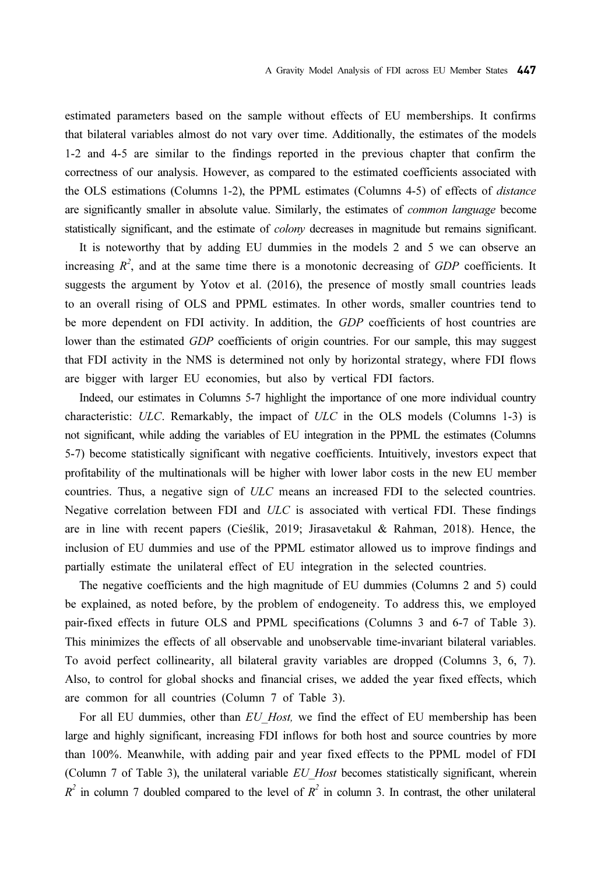estimated parameters based on the sample without effects of EU memberships. It confirms that bilateral variables almost do not vary over time. Additionally, the estimates of the models 1-2 and 4-5 are similar to the findings reported in the previous chapter that confirm the correctness of our analysis. However, as compared to the estimated coefficients associated with the OLS estimations (Columns 1-2), the PPML estimates (Columns 4-5) of effects of distance are significantly smaller in absolute value. Similarly, the estimates of common language become statistically significant, and the estimate of *colony* decreases in magnitude but remains significant.

It is noteworthy that by adding EU dummies in the models 2 and 5 we can observe an increasing  $R^2$ , and at the same time there is a monotonic decreasing of GDP coefficients. It suggests the argument by Yotov et al. (2016), the presence of mostly small countries leads to an overall rising of OLS and PPML estimates. In other words, smaller countries tend to be more dependent on FDI activity. In addition, the GDP coefficients of host countries are lower than the estimated GDP coefficients of origin countries. For our sample, this may suggest that FDI activity in the NMS is determined not only by horizontal strategy, where FDI flows are bigger with larger EU economies, but also by vertical FDI factors.

Indeed, our estimates in Columns 5-7 highlight the importance of one more individual country characteristic: ULC. Remarkably, the impact of ULC in the OLS models (Columns 1-3) is not significant, while adding the variables of EU integration in the PPML the estimates (Columns 5-7) become statistically significant with negative coefficients. Intuitively, investors expect that profitability of the multinationals will be higher with lower labor costs in the new EU member countries. Thus, a negative sign of ULC means an increased FDI to the selected countries. Negative correlation between FDI and ULC is associated with vertical FDI. These findings are in line with recent papers (Cieślik, 2019; Jirasavetakul & Rahman, 2018). Hence, the inclusion of EU dummies and use of the PPML estimator allowed us to improve findings and partially estimate the unilateral effect of EU integration in the selected countries.

The negative coefficients and the high magnitude of EU dummies (Columns 2 and 5) could be explained, as noted before, by the problem of endogeneity. To address this, we employed pair-fixed effects in future OLS and PPML specifications (Columns 3 and 6-7 of Table 3). This minimizes the effects of all observable and unobservable time-invariant bilateral variables. To avoid perfect collinearity, all bilateral gravity variables are dropped (Columns 3, 6, 7). Also, to control for global shocks and financial crises, we added the year fixed effects, which are common for all countries (Column 7 of Table 3).

For all EU dummies, other than EU Host, we find the effect of EU membership has been large and highly significant, increasing FDI inflows for both host and source countries by more than 100%. Meanwhile, with adding pair and year fixed effects to the PPML model of FDI (Column  $7$  of Table 3), the unilateral variable  $EU$  Host becomes statistically significant, wherein  $R^2$  in column 7 doubled compared to the level of  $R^2$  in column 3. In contrast, the other unilateral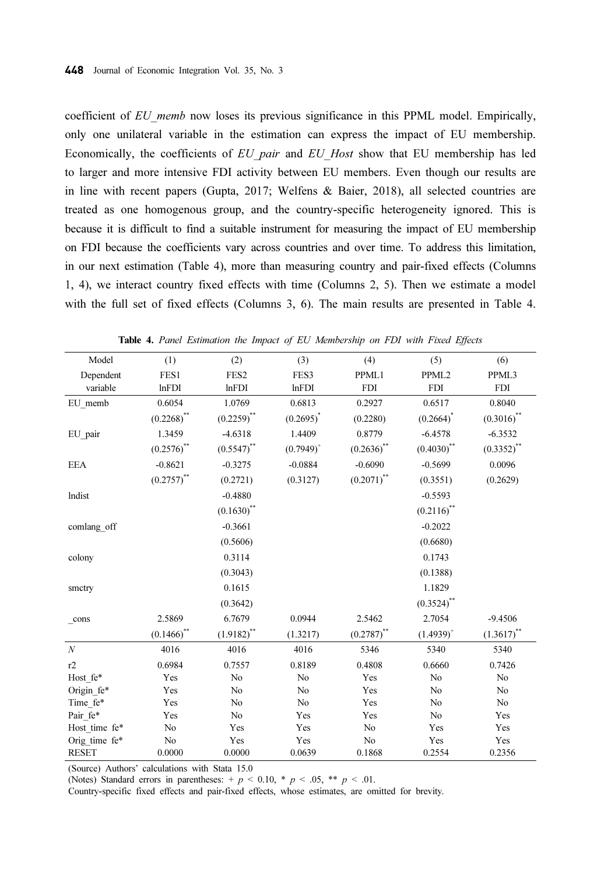coefficient of EU memb now loses its previous significance in this PPML model. Empirically, only one unilateral variable in the estimation can express the impact of EU membership. Economically, the coefficients of EU pair and EU Host show that EU membership has led to larger and more intensive FDI activity between EU members. Even though our results are in line with recent papers (Gupta, 2017; Welfens & Baier, 2018), all selected countries are treated as one homogenous group, and the country-specific heterogeneity ignored. This is because it is difficult to find a suitable instrument for measuring the impact of EU membership on FDI because the coefficients vary across countries and over time. To address this limitation, in our next estimation (Table 4), more than measuring country and pair-fixed effects (Columns 1, 4), we interact country fixed effects with time (Columns 2, 5). Then we estimate a model with the full set of fixed effects (Columns 3, 6). The main results are presented in Table 4.

| Model            | (1)           | (2)              | (3)            | (4)           | (5)           | (6)           |
|------------------|---------------|------------------|----------------|---------------|---------------|---------------|
| Dependent        | FES1          | FES <sub>2</sub> | FES3           | PPML1         | PPML2         | PPML3         |
| variable         | <b>lnFDI</b>  | lnFDI            | lnFDI          | <b>FDI</b>    | <b>FDI</b>    | <b>FDI</b>    |
| EU memb          | 0.6054        | 1.0769           | 0.6813         | 0.2927        | 0.6517        | 0.8040        |
|                  | $(0.2268)$ ** | $(0.2259)$ **    | $(0.2695)^{*}$ | (0.2280)      | $(0.2664)^*$  | $(0.3016)$ ** |
| EU pair          | 1.3459        | $-4.6318$        | 1.4409         | 0.8779        | $-6.4578$     | $-6.3532$     |
|                  | $(0.2576)$ ** | $(0.5547)$ **    | $(0.7949)^+$   | $(0.2636)$ ** | $(0.4030)$ ** | $(0.3352)$ ** |
| <b>EEA</b>       | $-0.8621$     | $-0.3275$        | $-0.0884$      | $-0.6090$     | $-0.5699$     | 0.0096        |
|                  | $(0.2757)$ ** | (0.2721)         | (0.3127)       | $(0.2071)$ ** | (0.3551)      | (0.2629)      |
| lndist           |               | $-0.4880$        |                |               | $-0.5593$     |               |
|                  |               | $(0.1630)$ **    |                |               | $(0.2116)$ ** |               |
| comlang off      |               | $-0.3661$        |                |               | $-0.2022$     |               |
|                  |               | (0.5606)         |                |               | (0.6680)      |               |
| colony           |               | 0.3114           |                |               | 0.1743        |               |
|                  |               | (0.3043)         |                |               | (0.1388)      |               |
| smctry           |               | 0.1615           |                |               | 1.1829        |               |
|                  |               | (0.3642)         |                |               | $(0.3524)$ ** |               |
| cons             | 2.5869        | 6.7679           | 0.0944         | 2.5462        | 2.7054        | $-9.4506$     |
|                  | $(0.1466)$ ** | $(1.9182)$ **    | (1.3217)       | $(0.2787)$ ** | $(1.4939)^+$  | $(1.3617)$ ** |
| $\boldsymbol{N}$ | 4016          | 4016             | 4016           | 5346          | 5340          | 5340          |
| r2               | 0.6984        | 0.7557           | 0.8189         | 0.4808        | 0.6660        | 0.7426        |
| Host fe*         | Yes           | No               | No             | Yes           | No            | No            |
| Origin_fe*       | Yes           | No               | No             | Yes           | No            | No            |
| Time fe*         | Yes           | No               | No             | Yes           | No            | No            |
| Pair fe*         | Yes           | No               | Yes            | Yes           | No            | Yes           |
| Host time fe*    | No            | Yes              | Yes            | No            | Yes           | Yes           |
| Orig time fe*    | No            | Yes              | Yes            | No            | Yes           | Yes           |
| <b>RESET</b>     | 0.0000        | 0.0000           | 0.0639         | 0.1868        | 0.2554        | 0.2356        |

Table 4. Panel Estimation the Impact of EU Membership on FDI with Fixed Effects

(Source) Authors' calculations with Stata 15.0

(Notes) Standard errors in parentheses:  $+p < 0.10$ ,  $\ast$   $p < .05$ ,  $\ast \ast$   $p < .01$ .

Country-specific fixed effects and pair-fixed effects, whose estimates, are omitted for brevity.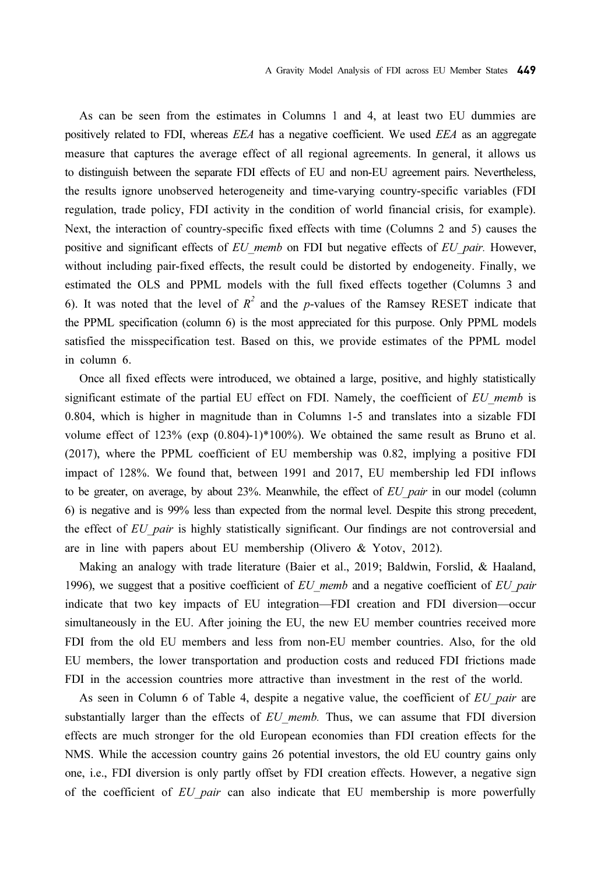As can be seen from the estimates in Columns 1 and 4, at least two EU dummies are positively related to FDI, whereas EEA has a negative coefficient. We used EEA as an aggregate measure that captures the average effect of all regional agreements. In general, it allows us to distinguish between the separate FDI effects of EU and non-EU agreement pairs. Nevertheless, the results ignore unobserved heterogeneity and time-varying country-specific variables (FDI regulation, trade policy, FDI activity in the condition of world financial crisis, for example). Next, the interaction of country-specific fixed effects with time (Columns 2 and 5) causes the positive and significant effects of EU memb on FDI but negative effects of EU pair. However, without including pair-fixed effects, the result could be distorted by endogeneity. Finally, we estimated the OLS and PPML models with the full fixed effects together (Columns 3 and 6). It was noted that the level of  $R^2$  and the p-values of the Ramsey RESET indicate that the PPML specification (column 6) is the most appreciated for this purpose. Only PPML models satisfied the misspecification test. Based on this, we provide estimates of the PPML model in column 6.

Once all fixed effects were introduced, we obtained a large, positive, and highly statistically significant estimate of the partial EU effect on FDI. Namely, the coefficient of  $EU$  memb is 0.804, which is higher in magnitude than in Columns 1-5 and translates into a sizable FDI volume effect of 123% (exp (0.804)-1)\*100%). We obtained the same result as Bruno et al. (2017), where the PPML coefficient of EU membership was 0.82, implying a positive FDI impact of 128%. We found that, between 1991 and 2017, EU membership led FDI inflows to be greater, on average, by about  $23%$ . Meanwhile, the effect of  $EU$  pair in our model (column 6) is negative and is 99% less than expected from the normal level. Despite this strong precedent, the effect of EU pair is highly statistically significant. Our findings are not controversial and are in line with papers about EU membership (Olivero & Yotov, 2012).

Making an analogy with trade literature (Baier et al., 2019; Baldwin, Forslid, & Haaland, 1996), we suggest that a positive coefficient of  $EU$  memb and a negative coefficient of  $EU$  pair indicate that two key impacts of EU integration—FDI creation and FDI diversion—occur simultaneously in the EU. After joining the EU, the new EU member countries received more FDI from the old EU members and less from non-EU member countries. Also, for the old EU members, the lower transportation and production costs and reduced FDI frictions made FDI in the accession countries more attractive than investment in the rest of the world.

As seen in Column 6 of Table 4, despite a negative value, the coefficient of  $EU$  pair are substantially larger than the effects of  $EU$  memb. Thus, we can assume that FDI diversion effects are much stronger for the old European economies than FDI creation effects for the NMS. While the accession country gains 26 potential investors, the old EU country gains only one, i.e., FDI diversion is only partly offset by FDI creation effects. However, a negative sign of the coefficient of EU pair can also indicate that EU membership is more powerfully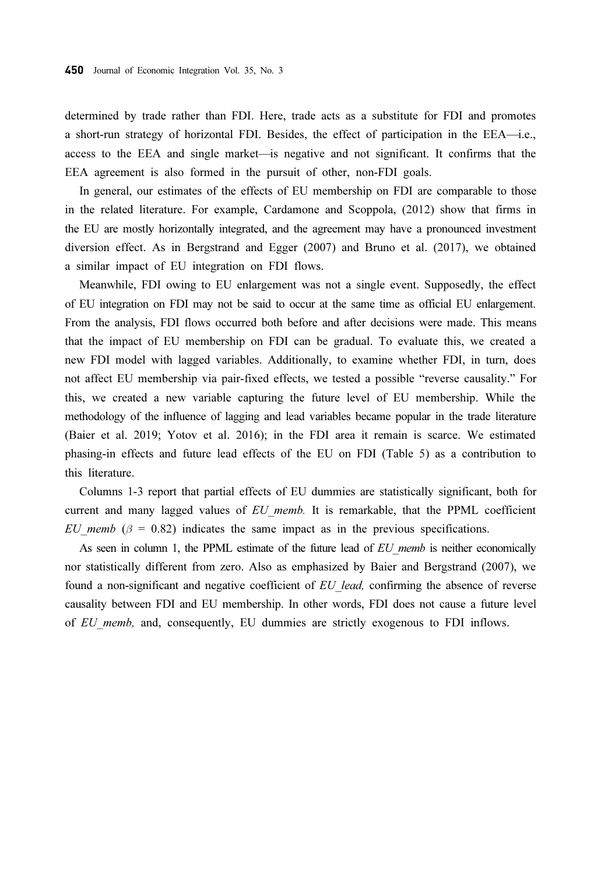determined by trade rather than FDI. Here, trade acts as a substitute for FDI and promotes a short-run strategy of horizontal FDI. Besides, the effect of participation in the EEA—i.e., access to the EEA and single market—is negative and not significant. It confirms that the EEA agreement is also formed in the pursuit of other, non-FDI goals.

In general, our estimates of the effects of EU membership on FDI are comparable to those in the related literature. For example, Cardamone and Scoppola, (2012) show that firms in the EU are mostly horizontally integrated, and the agreement may have a pronounced investment diversion effect. As in Bergstrand and Egger (2007) and Bruno et al. (2017), we obtained a similar impact of EU integration on FDI flows.

Meanwhile, FDI owing to EU enlargement was not a single event. Supposedly, the effect of EU integration on FDI may not be said to occur at the same time as official EU enlargement. From the analysis, FDI flows occurred both before and after decisions were made. This means that the impact of EU membership on FDI can be gradual. To evaluate this, we created a new FDI model with lagged variables. Additionally, to examine whether FDI, in turn, does not affect EU membership via pair-fixed effects, we tested a possible "reverse causality." For this, we created a new variable capturing the future level of EU membership. While the methodology of the influence of lagging and lead variables became popular in the trade literature (Baier et al. 2019; Yotov et al. 2016); in the FDI area it remain is scarce. We estimated phasing-in effects and future lead effects of the EU on FDI (Table 5) as a contribution to this literature.

Columns 1-3 report that partial effects of EU dummies are statistically significant, both for current and many lagged values of  $EU$  memb. It is remarkable, that the PPML coefficient EU memb ( $\beta$  = 0.82) indicates the same impact as in the previous specifications.

As seen in column 1, the PPML estimate of the future lead of EU memb is neither economically nor statistically different from zero. Also as emphasized by Baier and Bergstrand (2007), we found a non-significant and negative coefficient of EU lead, confirming the absence of reverse causality between FDI and EU membership. In other words, FDI does not cause a future level of EU memb, and, consequently, EU dummies are strictly exogenous to FDI inflows.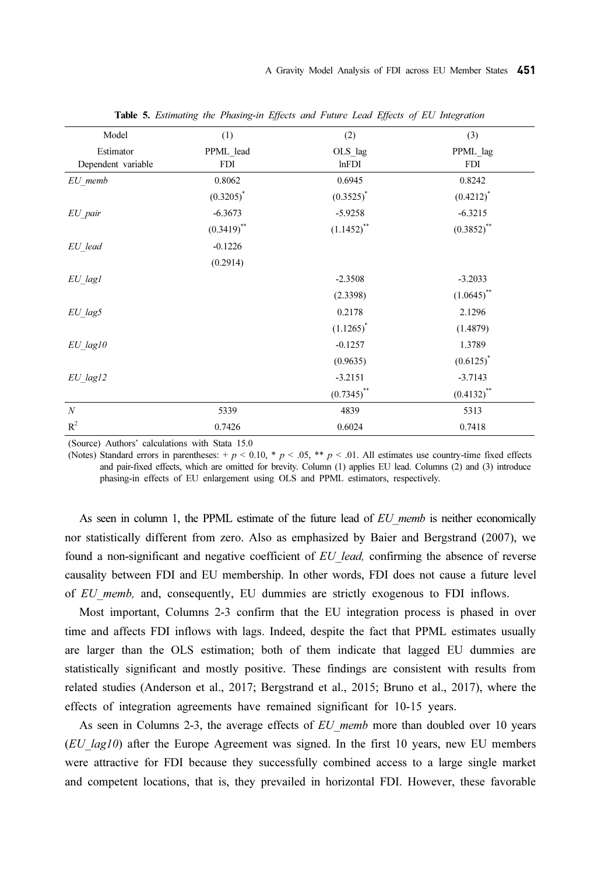| Model                           | (1)              | (2)                      | (3)             |
|---------------------------------|------------------|--------------------------|-----------------|
| Estimator<br>Dependent variable | PPML_lead<br>FDI | OLS_lag<br>lnFDI         | PPML lag<br>FDI |
| EU memb                         | 0.8062           | 0.6945                   | 0.8242          |
|                                 | $(0.3205)^*$     | $(0.3525)^*$             | $(0.4212)^*$    |
| EU pair                         | $-6.3673$        | $-5.9258$                | $-6.3215$       |
|                                 | $(0.3419)$ **    | $(1.1452)$ <sup>**</sup> | $(0.3852)$ **   |
| EU lead                         | $-0.1226$        |                          |                 |
|                                 | (0.2914)         |                          |                 |
| EU lagl                         |                  | $-2.3508$                | $-3.2033$       |
|                                 |                  | (2.3398)                 | $(1.0645)$ **   |
| $EU$ lag5                       |                  | 0.2178                   | 2.1296          |
|                                 |                  | $(1.1265)^{*}$           | (1.4879)        |
| $EU\_lag10$                     |                  | $-0.1257$                | 1.3789          |
|                                 |                  | (0.9635)                 | $(0.6125)^{*}$  |
| $EU$ lag12                      |                  | $-3.2151$                | $-3.7143$       |
|                                 |                  | $(0.7345)$ **            | $(0.4132)$ **   |
| $\cal N$                        | 5339             | 4839                     | 5313            |
| $R^2$                           | 0.7426           | 0.6024                   | 0.7418          |

Table 5. Estimating the Phasing-in Effects and Future Lead Effects of EU Integration

(Source) Authors' calculations with Stata 15.0

(Notes) Standard errors in parentheses:  $+p < 0.10$ , \*  $p < 0.05$ , \*\*  $p < 0.01$ . All estimates use country-time fixed effects and pair-fixed effects, which are omitted for brevity. Column (1) applies EU lead. Columns (2) and (3) introduce phasing-in effects of EU enlargement using OLS and PPML estimators, respectively.

As seen in column 1, the PPML estimate of the future lead of  $EU$  memb is neither economically nor statistically different from zero. Also as emphasized by Baier and Bergstrand (2007), we found a non-significant and negative coefficient of EU lead, confirming the absence of reverse causality between FDI and EU membership. In other words, FDI does not cause a future level of EU memb, and, consequently, EU dummies are strictly exogenous to FDI inflows.

Most important, Columns 2-3 confirm that the EU integration process is phased in over time and affects FDI inflows with lags. Indeed, despite the fact that PPML estimates usually are larger than the OLS estimation; both of them indicate that lagged EU dummies are statistically significant and mostly positive. These findings are consistent with results from related studies (Anderson et al., 2017; Bergstrand et al., 2015; Bruno et al., 2017), where the effects of integration agreements have remained significant for 10-15 years.

As seen in Columns 2-3, the average effects of EU memb more than doubled over 10 years  $(EU \text{ lag10})$  after the Europe Agreement was signed. In the first 10 years, new EU members were attractive for FDI because they successfully combined access to a large single market and competent locations, that is, they prevailed in horizontal FDI. However, these favorable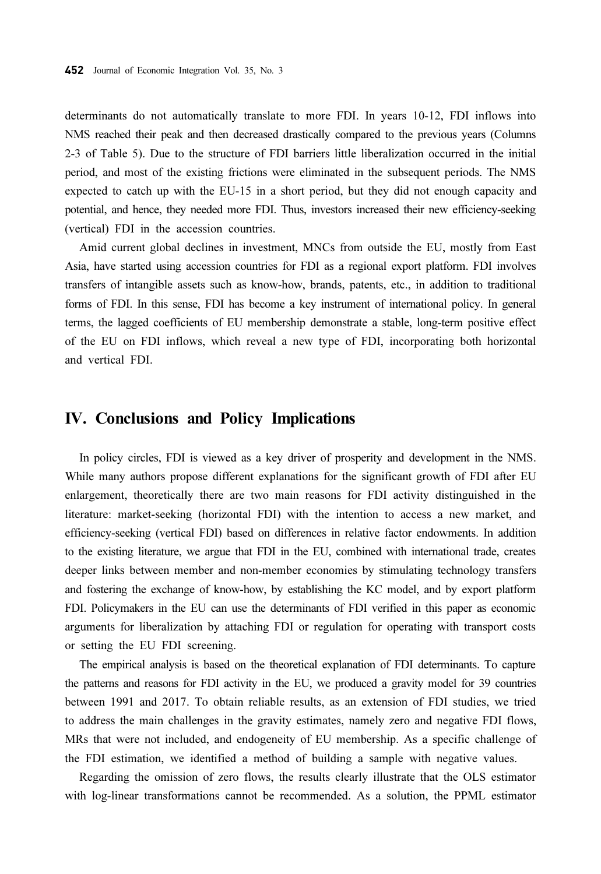determinants do not automatically translate to more FDI. In years 10-12, FDI inflows into NMS reached their peak and then decreased drastically compared to the previous years (Columns 2-3 of Table 5). Due to the structure of FDI barriers little liberalization occurred in the initial period, and most of the existing frictions were eliminated in the subsequent periods. The NMS expected to catch up with the EU-15 in a short period, but they did not enough capacity and potential, and hence, they needed more FDI. Thus, investors increased their new efficiency-seeking (vertical) FDI in the accession countries.

Amid current global declines in investment, MNCs from outside the EU, mostly from East Asia, have started using accession countries for FDI as a regional export platform. FDI involves transfers of intangible assets such as know-how, brands, patents, etc., in addition to traditional forms of FDI. In this sense, FDI has become a key instrument of international policy. In general terms, the lagged coefficients of EU membership demonstrate a stable, long-term positive effect of the EU on FDI inflows, which reveal a new type of FDI, incorporating both horizontal and vertical FDI.

## IV. Conclusions and Policy Implications

In policy circles, FDI is viewed as a key driver of prosperity and development in the NMS. While many authors propose different explanations for the significant growth of FDI after EU enlargement, theoretically there are two main reasons for FDI activity distinguished in the literature: market-seeking (horizontal FDI) with the intention to access a new market, and efficiency-seeking (vertical FDI) based on differences in relative factor endowments. In addition to the existing literature, we argue that FDI in the EU, combined with international trade, creates deeper links between member and non-member economies by stimulating technology transfers and fostering the exchange of know-how, by establishing the KC model, and by export platform FDI. Policymakers in the EU can use the determinants of FDI verified in this paper as economic arguments for liberalization by attaching FDI or regulation for operating with transport costs or setting the EU FDI screening.

The empirical analysis is based on the theoretical explanation of FDI determinants. To capture the patterns and reasons for FDI activity in the EU, we produced a gravity model for 39 countries between 1991 and 2017. To obtain reliable results, as an extension of FDI studies, we tried to address the main challenges in the gravity estimates, namely zero and negative FDI flows, MRs that were not included, and endogeneity of EU membership. As a specific challenge of the FDI estimation, we identified a method of building a sample with negative values.

Regarding the omission of zero flows, the results clearly illustrate that the OLS estimator with log-linear transformations cannot be recommended. As a solution, the PPML estimator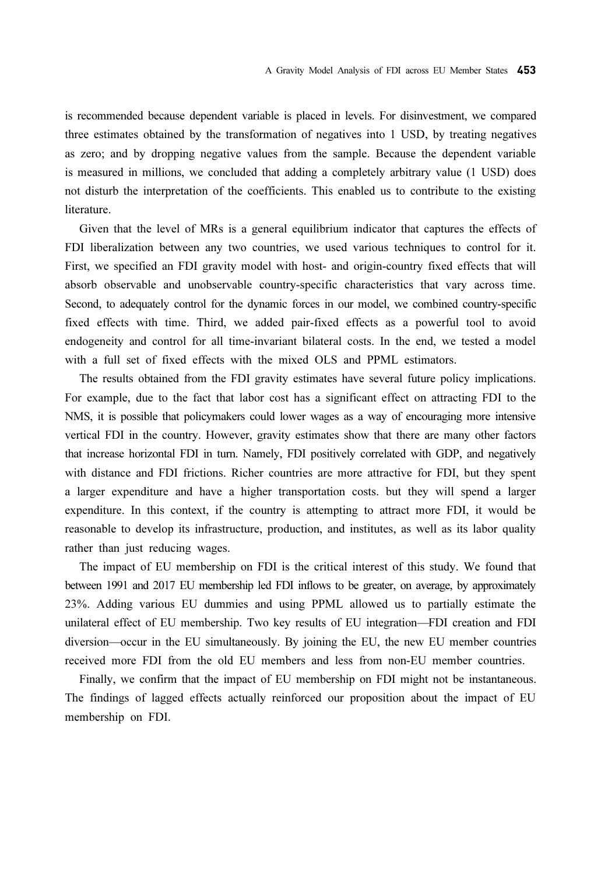is recommended because dependent variable is placed in levels. For disinvestment, we compared three estimates obtained by the transformation of negatives into 1 USD, by treating negatives as zero; and by dropping negative values from the sample. Because the dependent variable is measured in millions, we concluded that adding a completely arbitrary value (1 USD) does not disturb the interpretation of the coefficients. This enabled us to contribute to the existing literature.

Given that the level of MRs is a general equilibrium indicator that captures the effects of FDI liberalization between any two countries, we used various techniques to control for it. First, we specified an FDI gravity model with host- and origin-country fixed effects that will absorb observable and unobservable country-specific characteristics that vary across time. Second, to adequately control for the dynamic forces in our model, we combined country-specific fixed effects with time. Third, we added pair-fixed effects as a powerful tool to avoid endogeneity and control for all time-invariant bilateral costs. In the end, we tested a model with a full set of fixed effects with the mixed OLS and PPML estimators.

The results obtained from the FDI gravity estimates have several future policy implications. For example, due to the fact that labor cost has a significant effect on attracting FDI to the NMS, it is possible that policymakers could lower wages as a way of encouraging more intensive vertical FDI in the country. However, gravity estimates show that there are many other factors that increase horizontal FDI in turn. Namely, FDI positively correlated with GDP, and negatively with distance and FDI frictions. Richer countries are more attractive for FDI, but they spent a larger expenditure and have a higher transportation costs. but they will spend a larger expenditure. In this context, if the country is attempting to attract more FDI, it would be reasonable to develop its infrastructure, production, and institutes, as well as its labor quality rather than just reducing wages.

The impact of EU membership on FDI is the critical interest of this study. We found that between 1991 and 2017 EU membership led FDI inflows to be greater, on average, by approximately 23%. Adding various EU dummies and using PPML allowed us to partially estimate the unilateral effect of EU membership. Two key results of EU integration—FDI creation and FDI diversion—occur in the EU simultaneously. By joining the EU, the new EU member countries received more FDI from the old EU members and less from non-EU member countries.

Finally, we confirm that the impact of EU membership on FDI might not be instantaneous. The findings of lagged effects actually reinforced our proposition about the impact of EU membership on FDI.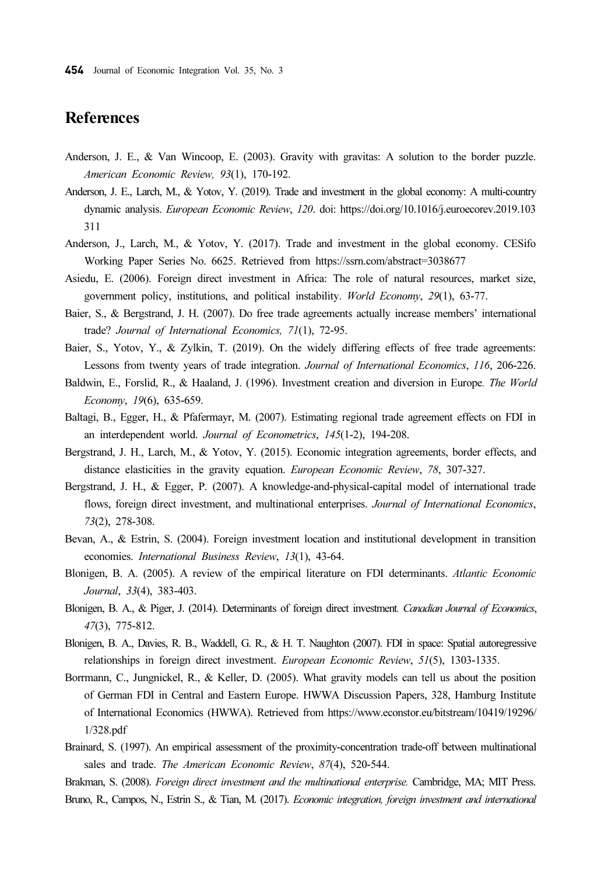## References

- Anderson, J. E., & Van Wincoop, E. (2003). Gravity with gravitas: A solution to the border puzzle. American Economic Review, 93(1), 170-192.
- Anderson, J. E., Larch, M., & Yotov, Y. (2019). Trade and investment in the global economy: A multi-country dynamic analysis. European Economic Review, 120. doi: https://doi.org/10.1016/j.euroecorev.2019.103 311
- Anderson, J., Larch, M., & Yotov, Y. (2017). Trade and investment in the global economy. CESifo Working Paper Series No. 6625. Retrieved from https://ssrn.com/abstract=3038677
- Asiedu, E. (2006). Foreign direct investment in Africa: The role of natural resources, market size, government policy, institutions, and political instability. World Economy, 29(1), 63-77.
- Baier, S., & Bergstrand, J. H. (2007). Do free trade agreements actually increase members' international trade? Journal of International Economics, 71(1), 72-95.
- Baier, S., Yotov, Y., & Zylkin, T. (2019). On the widely differing effects of free trade agreements: Lessons from twenty years of trade integration. Journal of International Economics, 116, 206-226.
- Baldwin, E., Forslid, R., & Haaland, J. (1996). Investment creation and diversion in Europe. The World Economy, 19(6), 635-659.
- Baltagi, B., Egger, H., & Pfafermayr, M. (2007). Estimating regional trade agreement effects on FDI in an interdependent world. Journal of Econometrics, 145(1-2), 194-208.
- Bergstrand, J. H., Larch, M., & Yotov, Y. (2015). Economic integration agreements, border effects, and distance elasticities in the gravity equation. European Economic Review, 78, 307-327.
- Bergstrand, J. H., & Egger, P. (2007). A knowledge-and-physical-capital model of international trade flows, foreign direct investment, and multinational enterprises. Journal of International Economics, 73(2), 278-308.
- Bevan, A., & Estrin, S. (2004). Foreign investment location and institutional development in transition economies. International Business Review, 13(1), 43-64.
- Blonigen, B. A. (2005). A review of the empirical literature on FDI determinants. Atlantic Economic Journal, 33(4), 383-403.
- Blonigen, B. A., & Piger, J. (2014). Determinants of foreign direct investment. Canadian Journal of Economics, 47(3), 775-812.
- Blonigen, B. A., Davies, R. B., Waddell, G. R., & H. T. Naughton (2007). FDI in space: Spatial autoregressive relationships in foreign direct investment. *European Economic Review*, 51(5), 1303-1335.
- Borrmann, C., Jungnickel, R., & Keller, D. (2005). What gravity models can tell us about the position of German FDI in Central and Eastern Europe. HWWA Discussion Papers, 328, Hamburg Institute of International Economics (HWWA). Retrieved from https://www.econstor.eu/bitstream/10419/19296/ 1/328.pdf
- Brainard, S. (1997). An empirical assessment of the proximity-concentration trade-off between multinational sales and trade. The American Economic Review, 87(4), 520-544.

Brakman, S. (2008). Foreign direct investment and the multinational enterprise. Cambridge, MA; MIT Press. Bruno, R., Campos, N., Estrin S., & Tian, M. (2017). Economic integration, foreign investment and international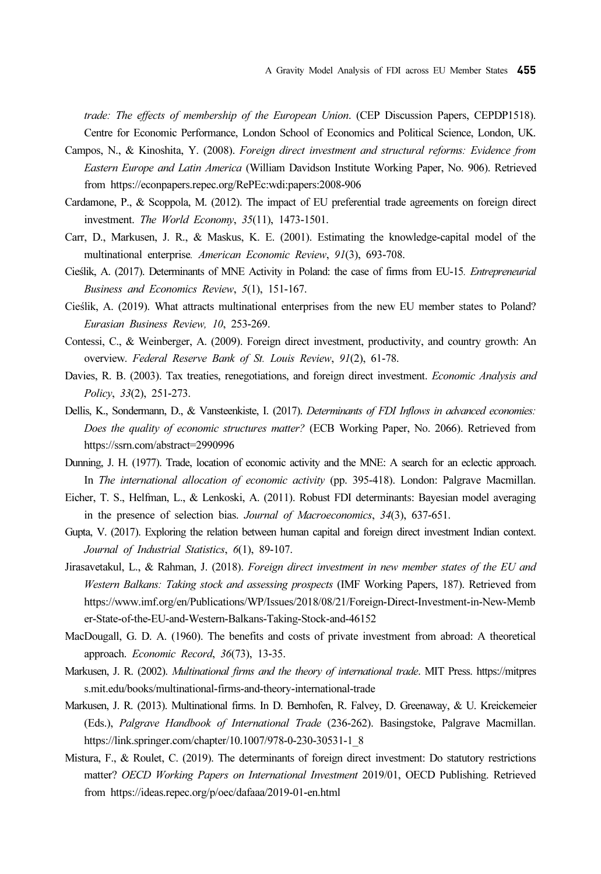trade: The effects of membership of the European Union. (CEP Discussion Papers, CEPDP1518). Centre for Economic Performance, London School of Economics and Political Science, London, UK.

- Campos, N., & Kinoshita, Y. (2008). Foreign direct investment and structural reforms: Evidence from Eastern Europe and Latin America (William Davidson Institute Working Paper, No. 906). Retrieved from https://econpapers.repec.org/RePEc:wdi:papers:2008-906
- Cardamone, P., & Scoppola, M. (2012). The impact of EU preferential trade agreements on foreign direct investment. The World Economy, 35(11), 1473-1501.
- Carr, D., Markusen, J. R., & Maskus, K. E. (2001). Estimating the knowledge-capital model of the multinational enterprise. American Economic Review, 91(3), 693-708.
- Cieślik, A. (2017). Determinants of MNE Activity in Poland: the case of firms from EU-15. Entrepreneurial Business and Economics Review, 5(1), 151-167.
- Cieślik, A. (2019). What attracts multinational enterprises from the new EU member states to Poland? Eurasian Business Review, 10, 253-269.
- Contessi, C., & Weinberger, A. (2009). Foreign direct investment, productivity, and country growth: An overview. Federal Reserve Bank of St. Louis Review, 91(2), 61-78.
- Davies, R. B. (2003). Tax treaties, renegotiations, and foreign direct investment. *Economic Analysis and* Policy, 33(2), 251-273.
- Dellis, K., Sondermann, D., & Vansteenkiste, I. (2017). Determinants of FDI Inflows in advanced economies: Does the quality of economic structures matter? (ECB Working Paper, No. 2066). Retrieved from https://ssrn.com/abstract=2990996
- Dunning, J. H. (1977). Trade, location of economic activity and the MNE: A search for an eclectic approach. In The international allocation of economic activity (pp. 395-418). London: Palgrave Macmillan.
- Eicher, T. S., Helfman, L., & Lenkoski, A. (2011). Robust FDI determinants: Bayesian model averaging in the presence of selection bias. Journal of Macroeconomics, 34(3), 637-651.
- Gupta, V. (2017). Exploring the relation between human capital and foreign direct investment Indian context. Journal of Industrial Statistics, 6(1), 89-107.
- Jirasavetakul, L., & Rahman, J. (2018). Foreign direct investment in new member states of the EU and Western Balkans: Taking stock and assessing prospects (IMF Working Papers, 187). Retrieved from https://www.imf.org/en/Publications/WP/Issues/2018/08/21/Foreign-Direct-Investment-in-New-Memb er-State-of-the-EU-and-Western-Balkans-Taking-Stock-and-46152
- MacDougall, G. D. A. (1960). The benefits and costs of private investment from abroad: A theoretical approach. Economic Record, 36(73), 13-35.
- Markusen, J. R. (2002). Multinational firms and the theory of international trade. MIT Press. https://mitpres s.mit.edu/books/multinational-firms-and-theory-international-trade
- Markusen, J. R. (2013). Multinational firms. In D. Bernhofen, R. Falvey, D. Greenaway, & U. Kreickemeier (Eds.), Palgrave Handbook of International Trade (236-262). Basingstoke, Palgrave Macmillan. https://link.springer.com/chapter/10.1007/978-0-230-30531-1\_8
- Mistura, F., & Roulet, C. (2019). The determinants of foreign direct investment: Do statutory restrictions matter? OECD Working Papers on International Investment 2019/01, OECD Publishing. Retrieved from https://ideas.repec.org/p/oec/dafaaa/2019-01-en.html